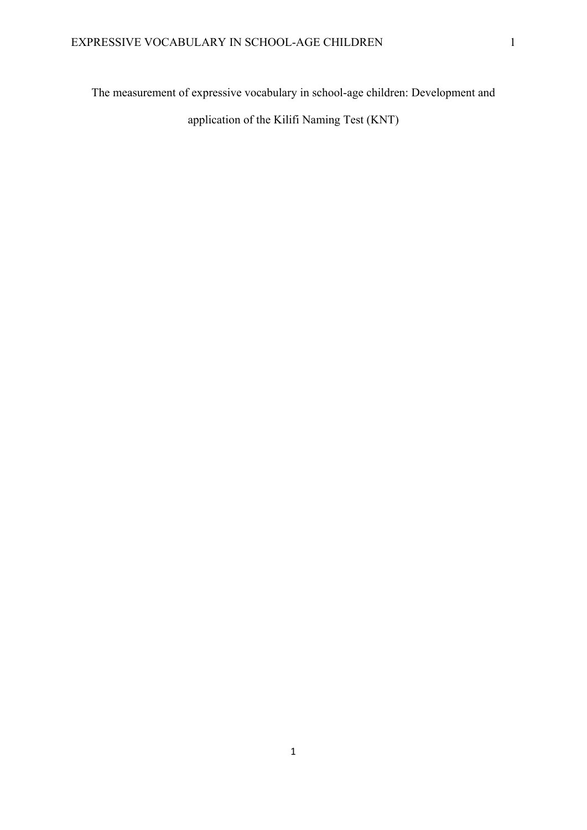The measurement of expressive vocabulary in school-age children: Development and application of the Kilifi Naming Test (KNT)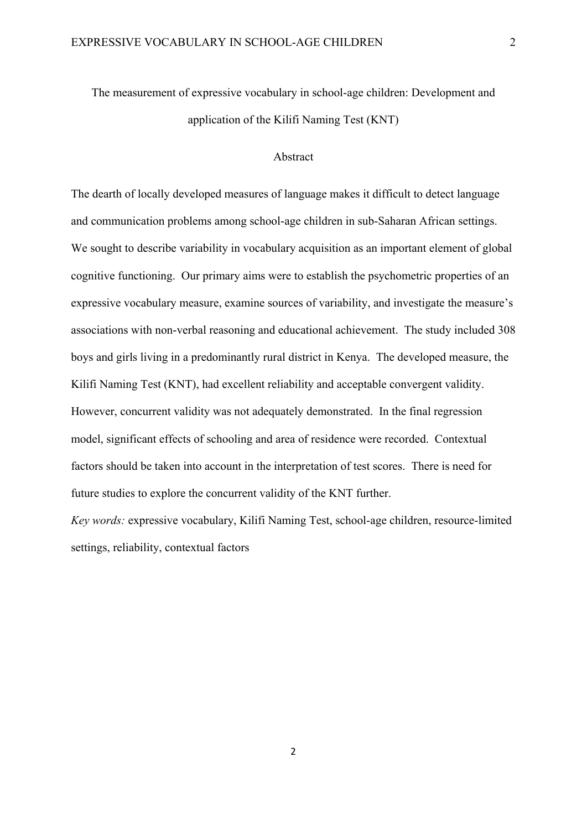# The measurement of expressive vocabulary in school-age children: Development and application of the Kilifi Naming Test (KNT)

### Abstract

The dearth of locally developed measures of language makes it difficult to detect language and communication problems among school-age children in sub-Saharan African settings. We sought to describe variability in vocabulary acquisition as an important element of global cognitive functioning. Our primary aims were to establish the psychometric properties of an expressive vocabulary measure, examine sources of variability, and investigate the measure's associations with non-verbal reasoning and educational achievement. The study included 308 boys and girls living in a predominantly rural district in Kenya. The developed measure, the Kilifi Naming Test (KNT), had excellent reliability and acceptable convergent validity. However, concurrent validity was not adequately demonstrated. In the final regression model, significant effects of schooling and area of residence were recorded. Contextual factors should be taken into account in the interpretation of test scores. There is need for future studies to explore the concurrent validity of the KNT further.

*Key words:* expressive vocabulary, Kilifi Naming Test, school-age children, resource-limited settings, reliability, contextual factors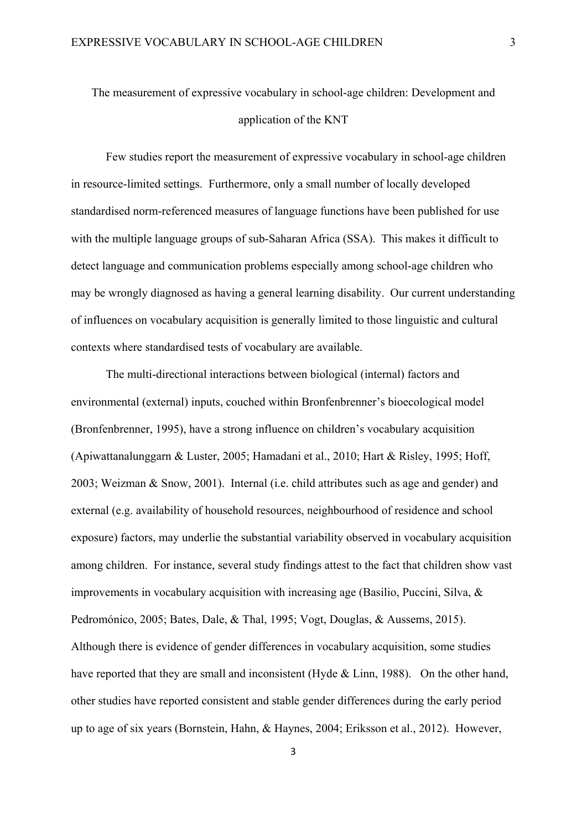# The measurement of expressive vocabulary in school-age children: Development and application of the KNT

Few studies report the measurement of expressive vocabulary in school-age children in resource-limited settings. Furthermore, only a small number of locally developed standardised norm-referenced measures of language functions have been published for use with the multiple language groups of sub-Saharan Africa (SSA). This makes it difficult to detect language and communication problems especially among school-age children who may be wrongly diagnosed as having a general learning disability. Our current understanding of influences on vocabulary acquisition is generally limited to those linguistic and cultural contexts where standardised tests of vocabulary are available.

The multi-directional interactions between biological (internal) factors and environmental (external) inputs, couched within Bronfenbrenner's bioecological model (Bronfenbrenner, 1995), have a strong influence on children's vocabulary acquisition (Apiwattanalunggarn & Luster, 2005; Hamadani et al., 2010; Hart & Risley, 1995; Hoff, 2003; Weizman & Snow, 2001). Internal (i.e. child attributes such as age and gender) and external (e.g. availability of household resources, neighbourhood of residence and school exposure) factors, may underlie the substantial variability observed in vocabulary acquisition among children. For instance, several study findings attest to the fact that children show vast improvements in vocabulary acquisition with increasing age (Basilio, Puccini, Silva, & Pedromónico, 2005; Bates, Dale, & Thal, 1995; Vogt, Douglas, & Aussems, 2015). Although there is evidence of gender differences in vocabulary acquisition, some studies have reported that they are small and inconsistent (Hyde & Linn, 1988). On the other hand, other studies have reported consistent and stable gender differences during the early period up to age of six years (Bornstein, Hahn, & Haynes, 2004; Eriksson et al., 2012). However,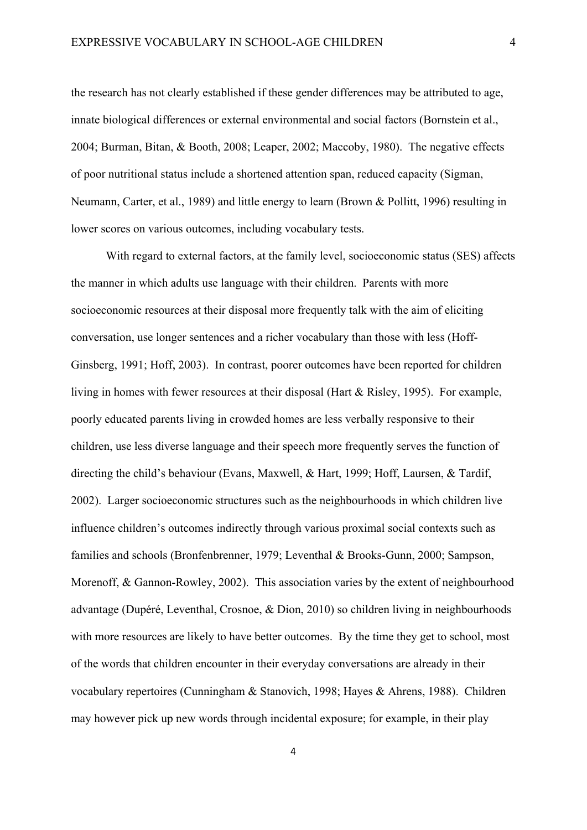the research has not clearly established if these gender differences may be attributed to age, innate biological differences or external environmental and social factors (Bornstein et al., 2004; Burman, Bitan, & Booth, 2008; Leaper, 2002; Maccoby, 1980). The negative effects of poor nutritional status include a shortened attention span, reduced capacity (Sigman, Neumann, Carter, et al., 1989) and little energy to learn (Brown & Pollitt, 1996) resulting in lower scores on various outcomes, including vocabulary tests.

With regard to external factors, at the family level, socioeconomic status (SES) affects the manner in which adults use language with their children. Parents with more socioeconomic resources at their disposal more frequently talk with the aim of eliciting conversation, use longer sentences and a richer vocabulary than those with less (Hoff-Ginsberg, 1991; Hoff, 2003). In contrast, poorer outcomes have been reported for children living in homes with fewer resources at their disposal (Hart & Risley, 1995). For example, poorly educated parents living in crowded homes are less verbally responsive to their children, use less diverse language and their speech more frequently serves the function of directing the child's behaviour (Evans, Maxwell, & Hart, 1999; Hoff, Laursen, & Tardif, 2002). Larger socioeconomic structures such as the neighbourhoods in which children live influence children's outcomes indirectly through various proximal social contexts such as families and schools (Bronfenbrenner, 1979; Leventhal & Brooks-Gunn, 2000; Sampson, Morenoff, & Gannon-Rowley, 2002). This association varies by the extent of neighbourhood advantage (Dupéré, Leventhal, Crosnoe, & Dion, 2010) so children living in neighbourhoods with more resources are likely to have better outcomes. By the time they get to school, most of the words that children encounter in their everyday conversations are already in their vocabulary repertoires (Cunningham & Stanovich, 1998; Hayes & Ahrens, 1988). Children may however pick up new words through incidental exposure; for example, in their play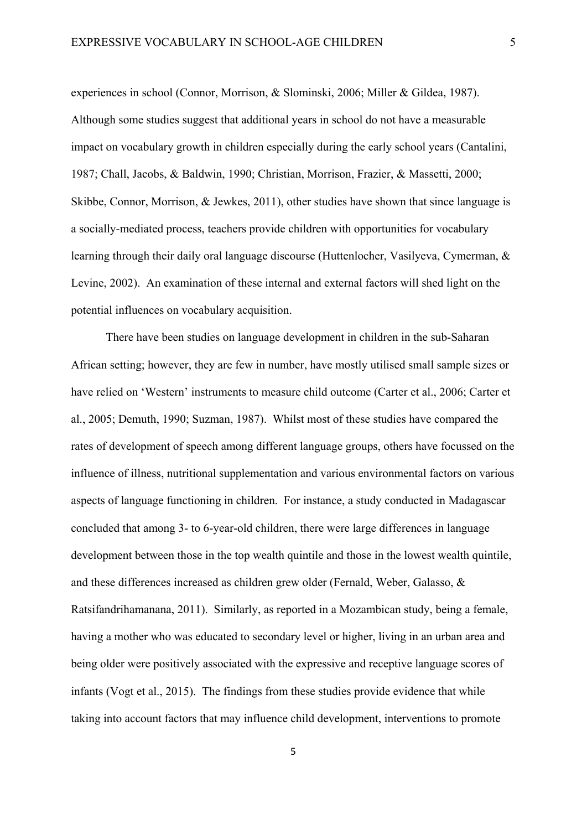experiences in school (Connor, Morrison, & Slominski, 2006; Miller & Gildea, 1987). Although some studies suggest that additional years in school do not have a measurable impact on vocabulary growth in children especially during the early school years (Cantalini, 1987; Chall, Jacobs, & Baldwin, 1990; Christian, Morrison, Frazier, & Massetti, 2000; Skibbe, Connor, Morrison, & Jewkes, 2011), other studies have shown that since language is a socially-mediated process, teachers provide children with opportunities for vocabulary learning through their daily oral language discourse (Huttenlocher, Vasilyeva, Cymerman, & Levine, 2002). An examination of these internal and external factors will shed light on the potential influences on vocabulary acquisition.

There have been studies on language development in children in the sub-Saharan African setting; however, they are few in number, have mostly utilised small sample sizes or have relied on 'Western' instruments to measure child outcome (Carter et al., 2006; Carter et al., 2005; Demuth, 1990; Suzman, 1987). Whilst most of these studies have compared the rates of development of speech among different language groups, others have focussed on the influence of illness, nutritional supplementation and various environmental factors on various aspects of language functioning in children. For instance, a study conducted in Madagascar concluded that among 3- to 6-year-old children, there were large differences in language development between those in the top wealth quintile and those in the lowest wealth quintile, and these differences increased as children grew older (Fernald, Weber, Galasso, & Ratsifandrihamanana, 2011). Similarly, as reported in a Mozambican study, being a female, having a mother who was educated to secondary level or higher, living in an urban area and being older were positively associated with the expressive and receptive language scores of infants (Vogt et al., 2015). The findings from these studies provide evidence that while taking into account factors that may influence child development, interventions to promote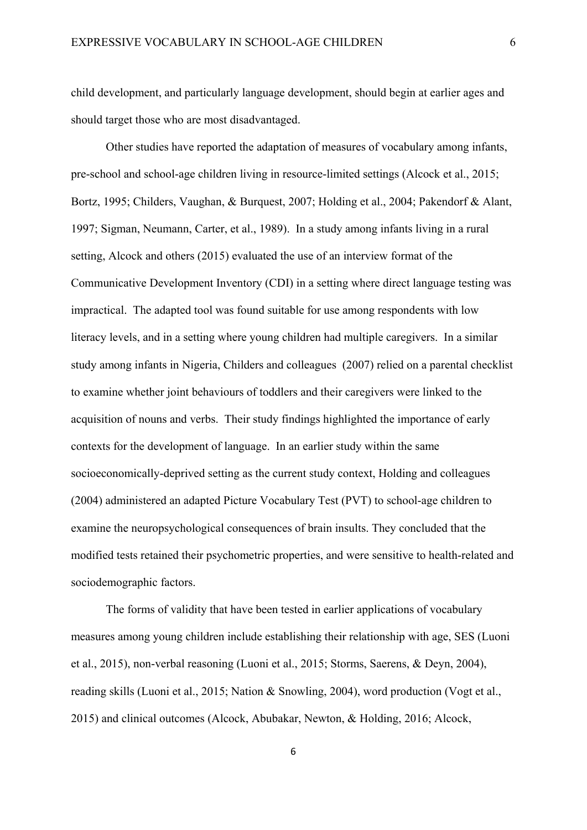child development, and particularly language development, should begin at earlier ages and should target those who are most disadvantaged.

Other studies have reported the adaptation of measures of vocabulary among infants, pre-school and school-age children living in resource-limited settings (Alcock et al., 2015; Bortz, 1995; Childers, Vaughan, & Burquest, 2007; Holding et al., 2004; Pakendorf & Alant, 1997; Sigman, Neumann, Carter, et al., 1989). In a study among infants living in a rural setting, Alcock and others (2015) evaluated the use of an interview format of the Communicative Development Inventory (CDI) in a setting where direct language testing was impractical. The adapted tool was found suitable for use among respondents with low literacy levels, and in a setting where young children had multiple caregivers. In a similar study among infants in Nigeria, Childers and colleagues (2007) relied on a parental checklist to examine whether joint behaviours of toddlers and their caregivers were linked to the acquisition of nouns and verbs. Their study findings highlighted the importance of early contexts for the development of language. In an earlier study within the same socioeconomically-deprived setting as the current study context, Holding and colleagues (2004) administered an adapted Picture Vocabulary Test (PVT) to school-age children to examine the neuropsychological consequences of brain insults. They concluded that the modified tests retained their psychometric properties, and were sensitive to health-related and sociodemographic factors.

The forms of validity that have been tested in earlier applications of vocabulary measures among young children include establishing their relationship with age, SES (Luoni et al., 2015), non-verbal reasoning (Luoni et al., 2015; Storms, Saerens, & Deyn, 2004), reading skills (Luoni et al., 2015; Nation & Snowling, 2004), word production (Vogt et al., 2015) and clinical outcomes (Alcock, Abubakar, Newton, & Holding, 2016; Alcock,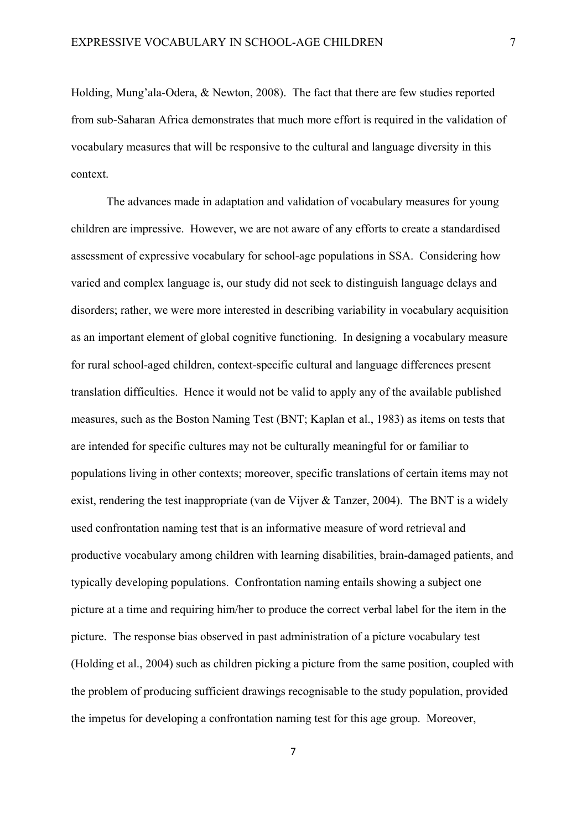Holding, Mung'ala-Odera, & Newton, 2008). The fact that there are few studies reported from sub-Saharan Africa demonstrates that much more effort is required in the validation of vocabulary measures that will be responsive to the cultural and language diversity in this context.

The advances made in adaptation and validation of vocabulary measures for young children are impressive. However, we are not aware of any efforts to create a standardised assessment of expressive vocabulary for school-age populations in SSA. Considering how varied and complex language is, our study did not seek to distinguish language delays and disorders; rather, we were more interested in describing variability in vocabulary acquisition as an important element of global cognitive functioning. In designing a vocabulary measure for rural school-aged children, context-specific cultural and language differences present translation difficulties. Hence it would not be valid to apply any of the available published measures, such as the Boston Naming Test (BNT; Kaplan et al., 1983) as items on tests that are intended for specific cultures may not be culturally meaningful for or familiar to populations living in other contexts; moreover, specific translations of certain items may not exist, rendering the test inappropriate (van de Vijver & Tanzer, 2004). The BNT is a widely used confrontation naming test that is an informative measure of word retrieval and productive vocabulary among children with learning disabilities, brain-damaged patients, and typically developing populations. Confrontation naming entails showing a subject one picture at a time and requiring him/her to produce the correct verbal label for the item in the picture. The response bias observed in past administration of a picture vocabulary test (Holding et al., 2004) such as children picking a picture from the same position, coupled with the problem of producing sufficient drawings recognisable to the study population, provided the impetus for developing a confrontation naming test for this age group. Moreover,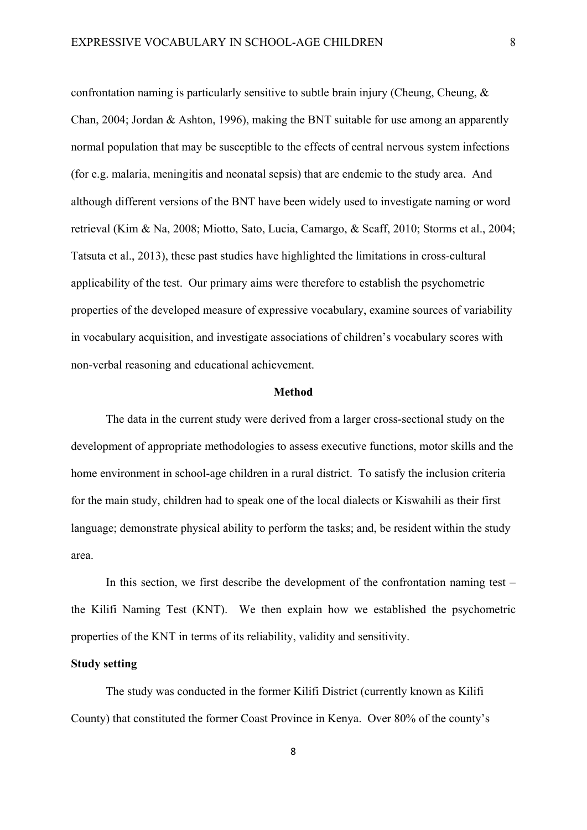confrontation naming is particularly sensitive to subtle brain injury (Cheung, Cheung, & Chan, 2004; Jordan & Ashton, 1996), making the BNT suitable for use among an apparently normal population that may be susceptible to the effects of central nervous system infections (for e.g. malaria, meningitis and neonatal sepsis) that are endemic to the study area. And although different versions of the BNT have been widely used to investigate naming or word retrieval (Kim & Na, 2008; Miotto, Sato, Lucia, Camargo, & Scaff, 2010; Storms et al., 2004; Tatsuta et al., 2013), these past studies have highlighted the limitations in cross-cultural applicability of the test. Our primary aims were therefore to establish the psychometric properties of the developed measure of expressive vocabulary, examine sources of variability in vocabulary acquisition, and investigate associations of children's vocabulary scores with non-verbal reasoning and educational achievement.

#### **Method**

The data in the current study were derived from a larger cross-sectional study on the development of appropriate methodologies to assess executive functions, motor skills and the home environment in school-age children in a rural district. To satisfy the inclusion criteria for the main study, children had to speak one of the local dialects or Kiswahili as their first language; demonstrate physical ability to perform the tasks; and, be resident within the study area.

In this section, we first describe the development of the confrontation naming test – the Kilifi Naming Test (KNT). We then explain how we established the psychometric properties of the KNT in terms of its reliability, validity and sensitivity.

# **Study setting**

The study was conducted in the former Kilifi District (currently known as Kilifi County) that constituted the former Coast Province in Kenya. Over 80% of the county's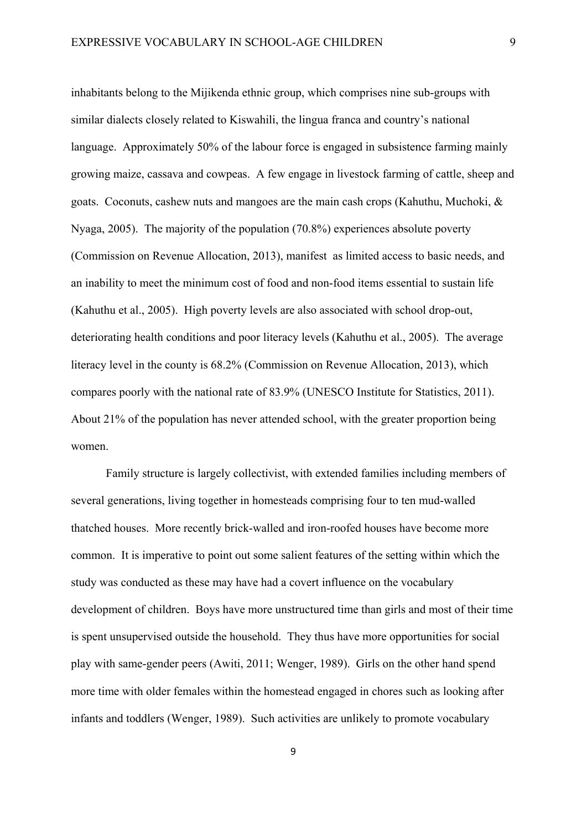inhabitants belong to the Mijikenda ethnic group, which comprises nine sub-groups with similar dialects closely related to Kiswahili, the lingua franca and country's national language. Approximately 50% of the labour force is engaged in subsistence farming mainly growing maize, cassava and cowpeas. A few engage in livestock farming of cattle, sheep and goats. Coconuts, cashew nuts and mangoes are the main cash crops (Kahuthu, Muchoki, & Nyaga, 2005). The majority of the population (70.8%) experiences absolute poverty (Commission on Revenue Allocation, 2013), manifest as limited access to basic needs, and an inability to meet the minimum cost of food and non-food items essential to sustain life (Kahuthu et al., 2005). High poverty levels are also associated with school drop-out, deteriorating health conditions and poor literacy levels (Kahuthu et al., 2005). The average literacy level in the county is 68.2% (Commission on Revenue Allocation, 2013), which compares poorly with the national rate of 83.9% (UNESCO Institute for Statistics, 2011). About 21% of the population has never attended school, with the greater proportion being women.

Family structure is largely collectivist, with extended families including members of several generations, living together in homesteads comprising four to ten mud-walled thatched houses. More recently brick-walled and iron-roofed houses have become more common. It is imperative to point out some salient features of the setting within which the study was conducted as these may have had a covert influence on the vocabulary development of children. Boys have more unstructured time than girls and most of their time is spent unsupervised outside the household. They thus have more opportunities for social play with same-gender peers (Awiti, 2011; Wenger, 1989). Girls on the other hand spend more time with older females within the homestead engaged in chores such as looking after infants and toddlers (Wenger, 1989). Such activities are unlikely to promote vocabulary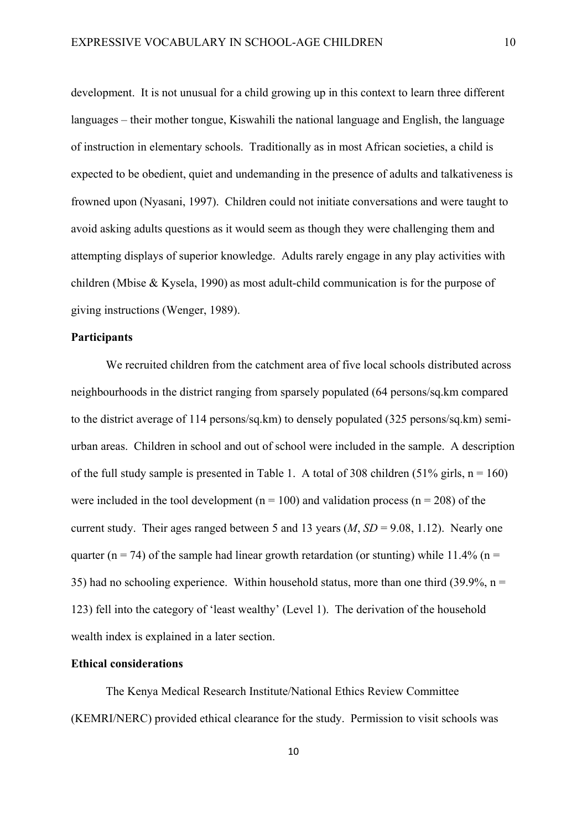development. It is not unusual for a child growing up in this context to learn three different languages – their mother tongue, Kiswahili the national language and English, the language of instruction in elementary schools. Traditionally as in most African societies, a child is expected to be obedient, quiet and undemanding in the presence of adults and talkativeness is frowned upon (Nyasani, 1997). Children could not initiate conversations and were taught to avoid asking adults questions as it would seem as though they were challenging them and attempting displays of superior knowledge. Adults rarely engage in any play activities with children (Mbise & Kysela, 1990) as most adult-child communication is for the purpose of giving instructions (Wenger, 1989).

### **Participants**

We recruited children from the catchment area of five local schools distributed across neighbourhoods in the district ranging from sparsely populated (64 persons/sq.km compared to the district average of 114 persons/sq.km) to densely populated (325 persons/sq.km) semiurban areas. Children in school and out of school were included in the sample. A description of the full study sample is presented in Table 1. A total of 308 children (51% girls,  $n = 160$ ) were included in the tool development ( $n = 100$ ) and validation process ( $n = 208$ ) of the current study. Their ages ranged between 5 and 13 years (*M*, *SD* = 9.08, 1.12). Nearly one quarter (n = 74) of the sample had linear growth retardation (or stunting) while 11.4% (n = 35) had no schooling experience. Within household status, more than one third (39.9%,  $n =$ 123) fell into the category of 'least wealthy' (Level 1). The derivation of the household wealth index is explained in a later section.

# **Ethical considerations**

The Kenya Medical Research Institute/National Ethics Review Committee (KEMRI/NERC) provided ethical clearance for the study. Permission to visit schools was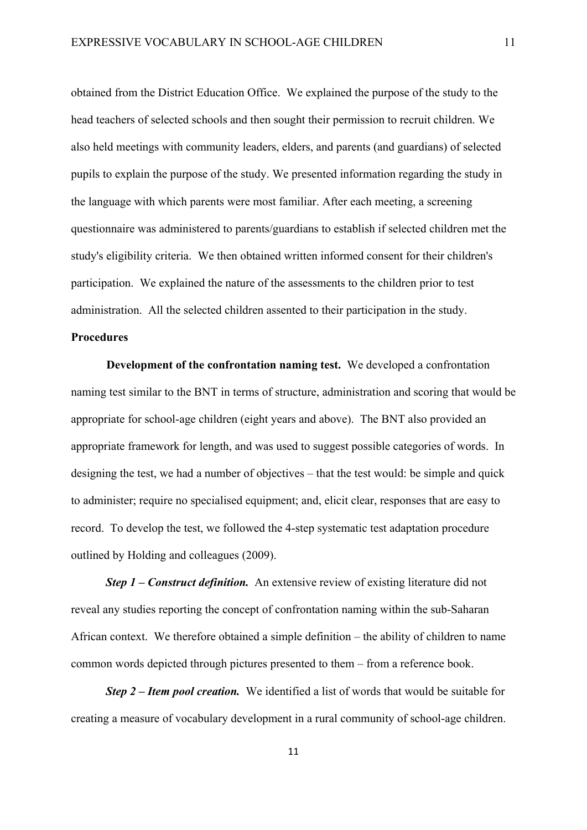obtained from the District Education Office. We explained the purpose of the study to the head teachers of selected schools and then sought their permission to recruit children. We also held meetings with community leaders, elders, and parents (and guardians) of selected pupils to explain the purpose of the study. We presented information regarding the study in the language with which parents were most familiar. After each meeting, a screening questionnaire was administered to parents/guardians to establish if selected children met the study's eligibility criteria. We then obtained written informed consent for their children's participation. We explained the nature of the assessments to the children prior to test administration. All the selected children assented to their participation in the study.

### **Procedures**

**Development of the confrontation naming test.** We developed a confrontation naming test similar to the BNT in terms of structure, administration and scoring that would be appropriate for school-age children (eight years and above). The BNT also provided an appropriate framework for length, and was used to suggest possible categories of words. In designing the test, we had a number of objectives – that the test would: be simple and quick to administer; require no specialised equipment; and, elicit clear, responses that are easy to record.To develop the test, we followed the 4-step systematic test adaptation procedure outlined by Holding and colleagues (2009).

*Step 1 – Construct definition.* An extensive review of existing literature did not reveal any studies reporting the concept of confrontation naming within the sub-Saharan African context. We therefore obtained a simple definition – the ability of children to name common words depicted through pictures presented to them – from a reference book.

*Step 2 – Item pool creation.* We identified a list of words that would be suitable for creating a measure of vocabulary development in a rural community of school-age children.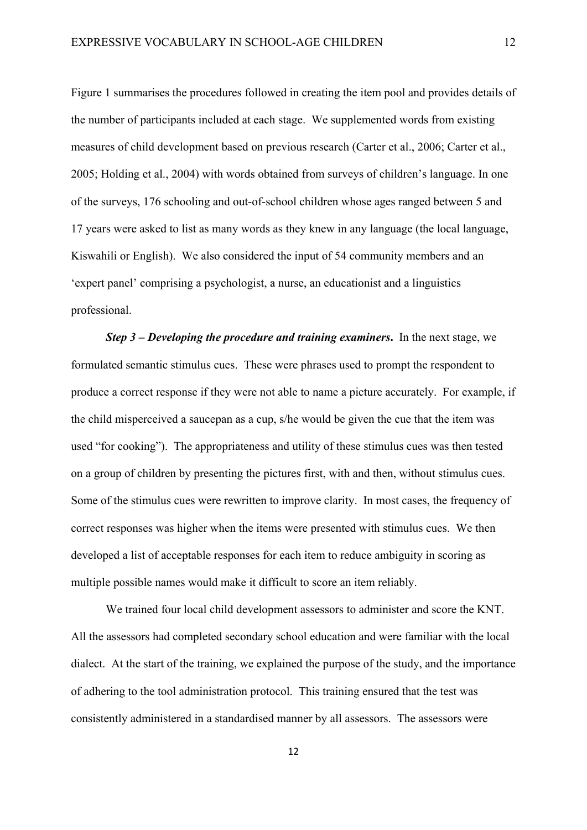Figure 1 summarises the procedures followed in creating the item pool and provides details of the number of participants included at each stage. We supplemented words from existing measures of child development based on previous research (Carter et al., 2006; Carter et al., 2005; Holding et al., 2004) with words obtained from surveys of children's language. In one of the surveys, 176 schooling and out-of-school children whose ages ranged between 5 and 17 years were asked to list as many words as they knew in any language (the local language, Kiswahili or English). We also considered the input of 54 community members and an 'expert panel' comprising a psychologist, a nurse, an educationist and a linguistics professional.

*Step 3* **–** *Developing the procedure and training examiners***.** In the next stage, we formulated semantic stimulus cues. These were phrases used to prompt the respondent to produce a correct response if they were not able to name a picture accurately. For example, if the child misperceived a saucepan as a cup, s/he would be given the cue that the item was used "for cooking"). The appropriateness and utility of these stimulus cues was then tested on a group of children by presenting the pictures first, with and then, without stimulus cues. Some of the stimulus cues were rewritten to improve clarity. In most cases, the frequency of correct responses was higher when the items were presented with stimulus cues. We then developed a list of acceptable responses for each item to reduce ambiguity in scoring as multiple possible names would make it difficult to score an item reliably.

We trained four local child development assessors to administer and score the KNT. All the assessors had completed secondary school education and were familiar with the local dialect. At the start of the training, we explained the purpose of the study, and the importance of adhering to the tool administration protocol. This training ensured that the test was consistently administered in a standardised manner by all assessors. The assessors were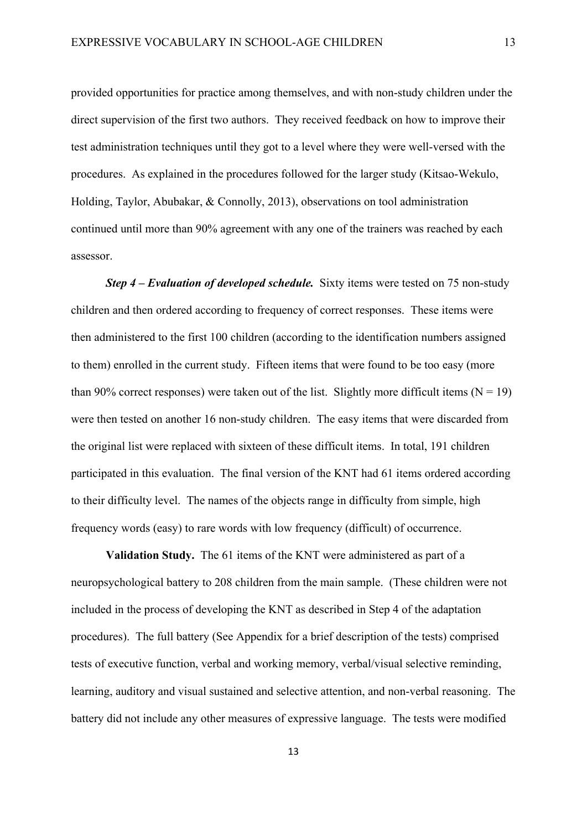provided opportunities for practice among themselves, and with non-study children under the direct supervision of the first two authors. They received feedback on how to improve their test administration techniques until they got to a level where they were well-versed with the procedures. As explained in the procedures followed for the larger study (Kitsao-Wekulo, Holding, Taylor, Abubakar, & Connolly, 2013), observations on tool administration continued until more than 90% agreement with any one of the trainers was reached by each assessor.

*Step 4 – Evaluation of developed schedule.* Sixty items were tested on 75 non-study children and then ordered according to frequency of correct responses. These items were then administered to the first 100 children (according to the identification numbers assigned to them) enrolled in the current study. Fifteen items that were found to be too easy (more than 90% correct responses) were taken out of the list. Slightly more difficult items  $(N = 19)$ were then tested on another 16 non-study children. The easy items that were discarded from the original list were replaced with sixteen of these difficult items. In total, 191 children participated in this evaluation. The final version of the KNT had 61 items ordered according to their difficulty level. The names of the objects range in difficulty from simple, high frequency words (easy) to rare words with low frequency (difficult) of occurrence.

**Validation Study.** The 61 items of the KNT were administered as part of a neuropsychological battery to 208 children from the main sample. (These children were not included in the process of developing the KNT as described in Step 4 of the adaptation procedures). The full battery (See Appendix for a brief description of the tests) comprised tests of executive function, verbal and working memory, verbal/visual selective reminding, learning, auditory and visual sustained and selective attention, and non-verbal reasoning. The battery did not include any other measures of expressive language. The tests were modified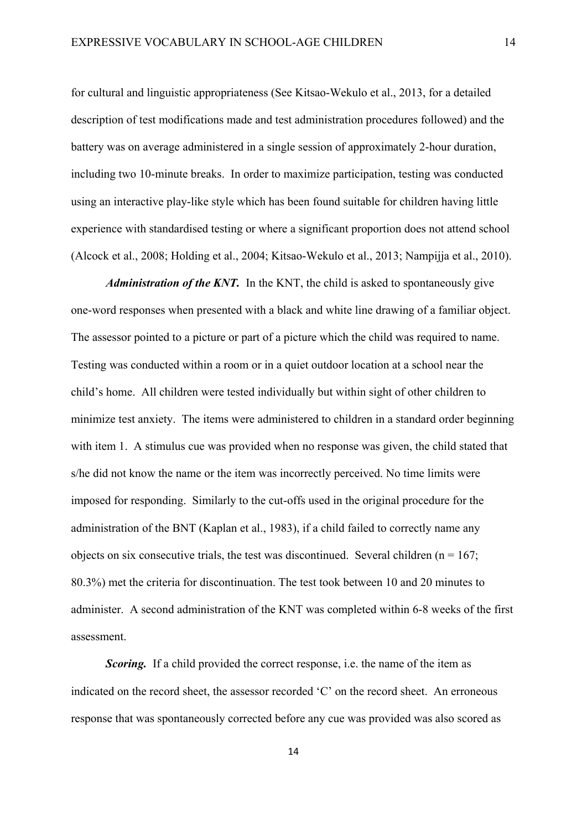for cultural and linguistic appropriateness (See Kitsao-Wekulo et al., 2013, for a detailed description of test modifications made and test administration procedures followed) and the battery was on average administered in a single session of approximately 2-hour duration, including two 10-minute breaks. In order to maximize participation, testing was conducted using an interactive play-like style which has been found suitable for children having little experience with standardised testing or where a significant proportion does not attend school (Alcock et al., 2008; Holding et al., 2004; Kitsao-Wekulo et al., 2013; Nampijja et al., 2010).

*Administration of the KNT.* In the KNT, the child is asked to spontaneously give one-word responses when presented with a black and white line drawing of a familiar object. The assessor pointed to a picture or part of a picture which the child was required to name. Testing was conducted within a room or in a quiet outdoor location at a school near the child's home. All children were tested individually but within sight of other children to minimize test anxiety. The items were administered to children in a standard order beginning with item 1. A stimulus cue was provided when no response was given, the child stated that s/he did not know the name or the item was incorrectly perceived. No time limits were imposed for responding. Similarly to the cut-offs used in the original procedure for the administration of the BNT (Kaplan et al., 1983), if a child failed to correctly name any objects on six consecutive trials, the test was discontinued. Several children ( $n = 167$ ; 80.3%) met the criteria for discontinuation. The test took between 10 and 20 minutes to administer. A second administration of the KNT was completed within 6-8 weeks of the first assessment.

*Scoring.* If a child provided the correct response, i.e. the name of the item as indicated on the record sheet, the assessor recorded 'C' on the record sheet. An erroneous response that was spontaneously corrected before any cue was provided was also scored as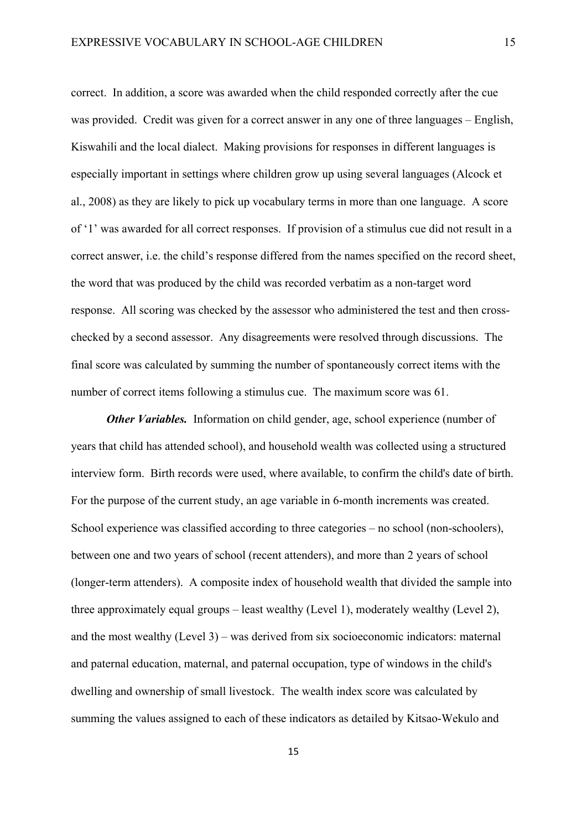correct. In addition, a score was awarded when the child responded correctly after the cue was provided. Credit was given for a correct answer in any one of three languages – English, Kiswahili and the local dialect. Making provisions for responses in different languages is especially important in settings where children grow up using several languages (Alcock et al., 2008) as they are likely to pick up vocabulary terms in more than one language. A score of '1' was awarded for all correct responses. If provision of a stimulus cue did not result in a correct answer, i.e. the child's response differed from the names specified on the record sheet, the word that was produced by the child was recorded verbatim as a non-target word response. All scoring was checked by the assessor who administered the test and then crosschecked by a second assessor. Any disagreements were resolved through discussions. The final score was calculated by summing the number of spontaneously correct items with the number of correct items following a stimulus cue. The maximum score was 61.

*Other Variables.* Information on child gender, age, school experience (number of years that child has attended school), and household wealth was collected using a structured interview form. Birth records were used, where available, to confirm the child's date of birth. For the purpose of the current study, an age variable in 6-month increments was created. School experience was classified according to three categories – no school (non-schoolers), between one and two years of school (recent attenders), and more than 2 years of school (longer-term attenders). A composite index of household wealth that divided the sample into three approximately equal groups – least wealthy (Level 1), moderately wealthy (Level 2), and the most wealthy (Level 3) – was derived from six socioeconomic indicators: maternal and paternal education, maternal, and paternal occupation, type of windows in the child's dwelling and ownership of small livestock. The wealth index score was calculated by summing the values assigned to each of these indicators as detailed by Kitsao-Wekulo and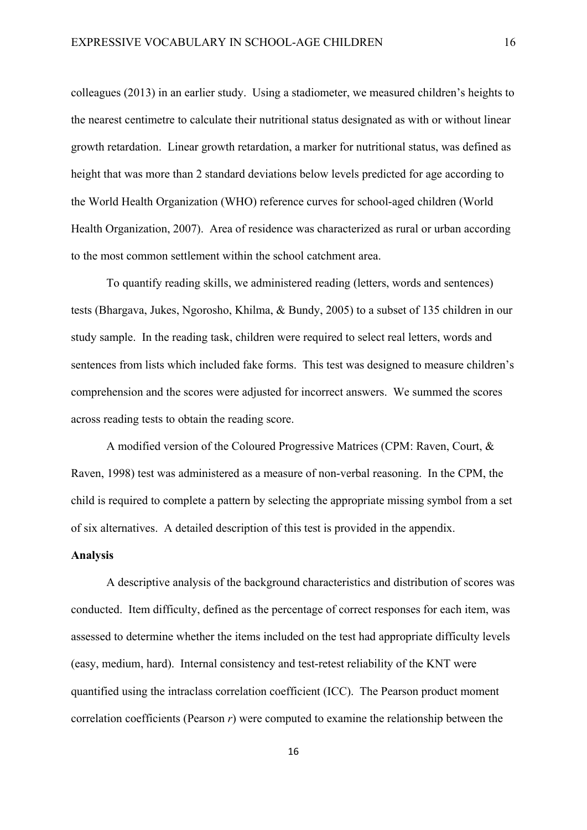colleagues (2013) in an earlier study. Using a stadiometer, we measured children's heights to the nearest centimetre to calculate their nutritional status designated as with or without linear growth retardation. Linear growth retardation, a marker for nutritional status, was defined as height that was more than 2 standard deviations below levels predicted for age according to the World Health Organization (WHO) reference curves for school-aged children (World Health Organization, 2007). Area of residence was characterized as rural or urban according to the most common settlement within the school catchment area.

To quantify reading skills, we administered reading (letters, words and sentences) tests (Bhargava, Jukes, Ngorosho, Khilma, & Bundy, 2005) to a subset of 135 children in our study sample. In the reading task, children were required to select real letters, words and sentences from lists which included fake forms. This test was designed to measure children's comprehension and the scores were adjusted for incorrect answers. We summed the scores across reading tests to obtain the reading score.

A modified version of the Coloured Progressive Matrices (CPM: Raven, Court, & Raven, 1998) test was administered as a measure of non-verbal reasoning. In the CPM, the child is required to complete a pattern by selecting the appropriate missing symbol from a set of six alternatives. A detailed description of this test is provided in the appendix.

## **Analysis**

A descriptive analysis of the background characteristics and distribution of scores was conducted. Item difficulty, defined as the percentage of correct responses for each item, was assessed to determine whether the items included on the test had appropriate difficulty levels (easy, medium, hard). Internal consistency and test-retest reliability of the KNT were quantified using the intraclass correlation coefficient (ICC). The Pearson product moment correlation coefficients (Pearson *r*) were computed to examine the relationship between the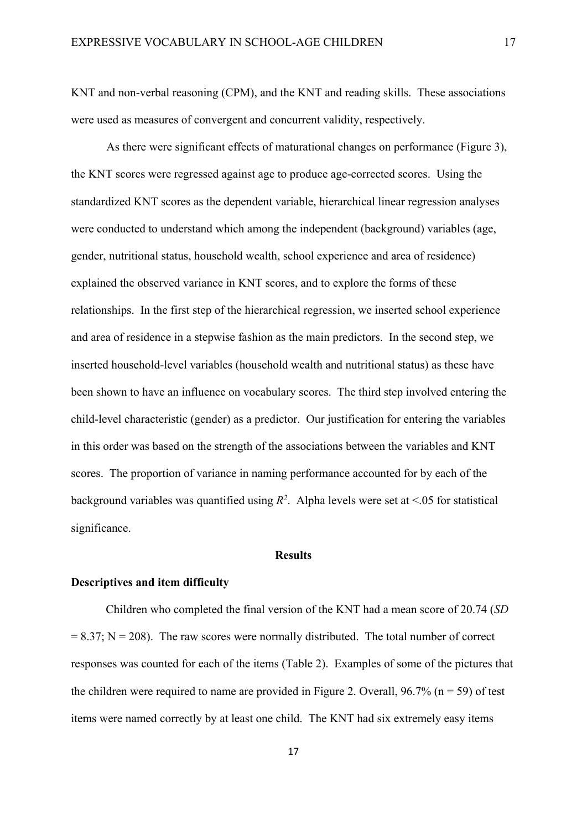KNT and non-verbal reasoning (CPM), and the KNT and reading skills. These associations were used as measures of convergent and concurrent validity, respectively.

As there were significant effects of maturational changes on performance (Figure 3), the KNT scores were regressed against age to produce age-corrected scores. Using the standardized KNT scores as the dependent variable, hierarchical linear regression analyses were conducted to understand which among the independent (background) variables (age, gender, nutritional status, household wealth, school experience and area of residence) explained the observed variance in KNT scores, and to explore the forms of these relationships. In the first step of the hierarchical regression, we inserted school experience and area of residence in a stepwise fashion as the main predictors. In the second step, we inserted household-level variables (household wealth and nutritional status) as these have been shown to have an influence on vocabulary scores. The third step involved entering the child-level characteristic (gender) as a predictor. Our justification for entering the variables in this order was based on the strength of the associations between the variables and KNT scores. The proportion of variance in naming performance accounted for by each of the background variables was quantified using  $R^2$ . Alpha levels were set at <.05 for statistical significance.

# **Results**

#### **Descriptives and item difficulty**

Children who completed the final version of the KNT had a mean score of 20.74 (*SD*  $= 8.37$ ; N  $= 208$ ). The raw scores were normally distributed. The total number of correct responses was counted for each of the items (Table 2). Examples of some of the pictures that the children were required to name are provided in Figure 2. Overall,  $96.7\%$  (n = 59) of test items were named correctly by at least one child. The KNT had six extremely easy items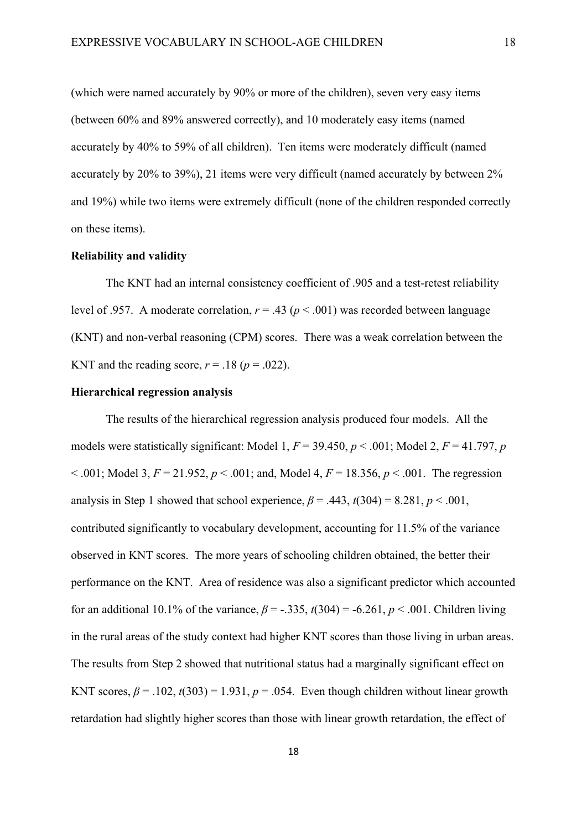(which were named accurately by 90% or more of the children), seven very easy items (between 60% and 89% answered correctly), and 10 moderately easy items (named accurately by 40% to 59% of all children). Ten items were moderately difficult (named accurately by 20% to 39%), 21 items were very difficult (named accurately by between 2% and 19%) while two items were extremely difficult (none of the children responded correctly on these items).

#### **Reliability and validity**

The KNT had an internal consistency coefficient of .905 and a test-retest reliability level of .957. A moderate correlation,  $r = .43$  ( $p < .001$ ) was recorded between language (KNT) and non-verbal reasoning (CPM) scores. There was a weak correlation between the KNT and the reading score,  $r = .18$  ( $p = .022$ ).

#### **Hierarchical regression analysis**

The results of the hierarchical regression analysis produced four models. All the models were statistically significant: Model 1,  $F = 39.450$ ,  $p < .001$ ; Model 2,  $F = 41.797$ ,  $p$  $\leq$  .001; Model 3,  $F = 21.952$ ,  $p \leq 0.001$ ; and, Model 4,  $F = 18.356$ ,  $p \leq 0.001$ . The regression analysis in Step 1 showed that school experience,  $\beta$  = .443,  $t(304)$  = 8.281,  $p < .001$ , contributed significantly to vocabulary development, accounting for 11.5% of the variance observed in KNT scores. The more years of schooling children obtained, the better their performance on the KNT. Area of residence was also a significant predictor which accounted for an additional 10.1% of the variance,  $\beta$  = -.335,  $t(304)$  = -6.261,  $p < .001$ . Children living in the rural areas of the study context had higher KNT scores than those living in urban areas. The results from Step 2 showed that nutritional status had a marginally significant effect on KNT scores,  $\beta$  = .102,  $t(303)$  = 1.931,  $p$  = .054. Even though children without linear growth retardation had slightly higher scores than those with linear growth retardation, the effect of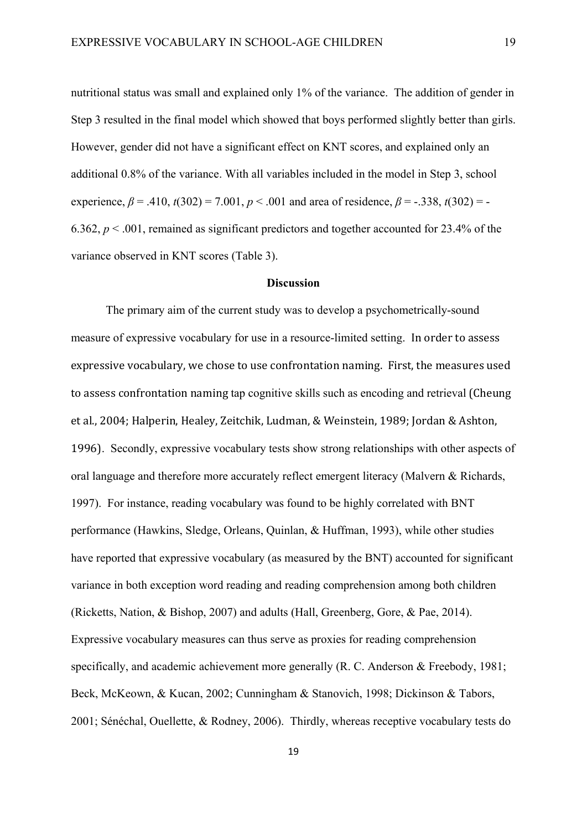nutritional status was small and explained only 1% of the variance. The addition of gender in Step 3 resulted in the final model which showed that boys performed slightly better than girls. However, gender did not have a significant effect on KNT scores, and explained only an additional 0.8% of the variance. With all variables included in the model in Step 3, school experience,  $\beta = .410$ ,  $t(302) = 7.001$ ,  $p < .001$  and area of residence,  $\beta = -.338$ ,  $t(302) = -$ 6.362,  $p < .001$ , remained as significant predictors and together accounted for 23.4% of the variance observed in KNT scores (Table 3).

#### **Discussion**

The primary aim of the current study was to develop a psychometrically-sound measure of expressive vocabulary for use in a resource-limited setting. In order to assess expressive vocabulary, we chose to use confrontation naming. First, the measures used to assess confrontation naming tap cognitive skills such as encoding and retrieval (Cheung et al., 2004; Halperin, Healey, Zeitchik, Ludman, & Weinstein, 1989; Jordan & Ashton, 1996). Secondly, expressive vocabulary tests show strong relationships with other aspects of oral language and therefore more accurately reflect emergent literacy (Malvern & Richards, 1997). For instance, reading vocabulary was found to be highly correlated with BNT performance (Hawkins, Sledge, Orleans, Quinlan, & Huffman, 1993), while other studies have reported that expressive vocabulary (as measured by the BNT) accounted for significant variance in both exception word reading and reading comprehension among both children (Ricketts, Nation, & Bishop, 2007) and adults (Hall, Greenberg, Gore, & Pae, 2014). Expressive vocabulary measures can thus serve as proxies for reading comprehension specifically, and academic achievement more generally (R. C. Anderson & Freebody, 1981; Beck, McKeown, & Kucan, 2002; Cunningham & Stanovich, 1998; Dickinson & Tabors, 2001; Sénéchal, Ouellette, & Rodney, 2006). Thirdly, whereas receptive vocabulary tests do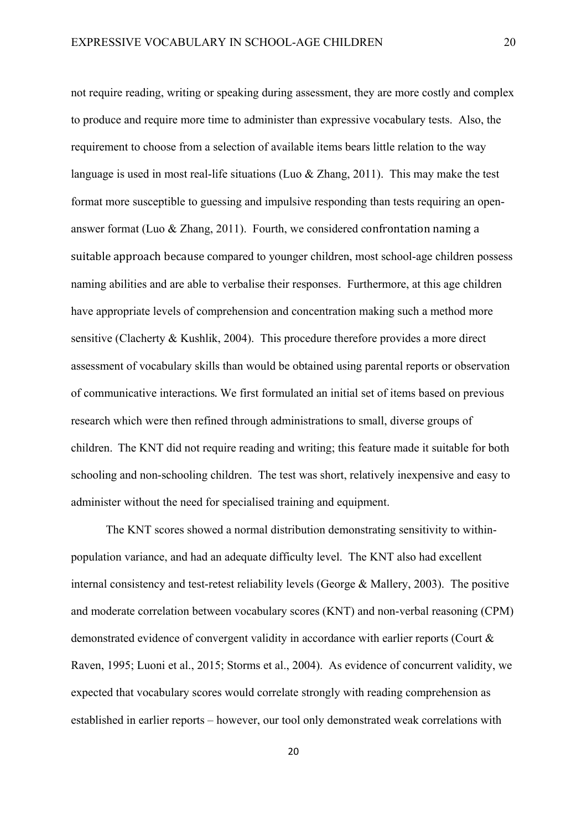not require reading, writing or speaking during assessment, they are more costly and complex to produce and require more time to administer than expressive vocabulary tests. Also, the requirement to choose from a selection of available items bears little relation to the way language is used in most real-life situations (Luo & Zhang, 2011). This may make the test format more susceptible to guessing and impulsive responding than tests requiring an openanswer format (Luo & Zhang, 2011). Fourth, we considered confrontation naming a suitable approach because compared to younger children, most school-age children possess naming abilities and are able to verbalise their responses. Furthermore, at this age children have appropriate levels of comprehension and concentration making such a method more sensitive (Clacherty & Kushlik, 2004). This procedure therefore provides a more direct assessment of vocabulary skills than would be obtained using parental reports or observation of communicative interactions. We first formulated an initial set of items based on previous research which were then refined through administrations to small, diverse groups of children. The KNT did not require reading and writing; this feature made it suitable for both schooling and non-schooling children. The test was short, relatively inexpensive and easy to administer without the need for specialised training and equipment.

The KNT scores showed a normal distribution demonstrating sensitivity to withinpopulation variance, and had an adequate difficulty level. The KNT also had excellent internal consistency and test-retest reliability levels (George & Mallery, 2003). The positive and moderate correlation between vocabulary scores (KNT) and non-verbal reasoning (CPM) demonstrated evidence of convergent validity in accordance with earlier reports (Court & Raven, 1995; Luoni et al., 2015; Storms et al., 2004). As evidence of concurrent validity, we expected that vocabulary scores would correlate strongly with reading comprehension as established in earlier reports – however, our tool only demonstrated weak correlations with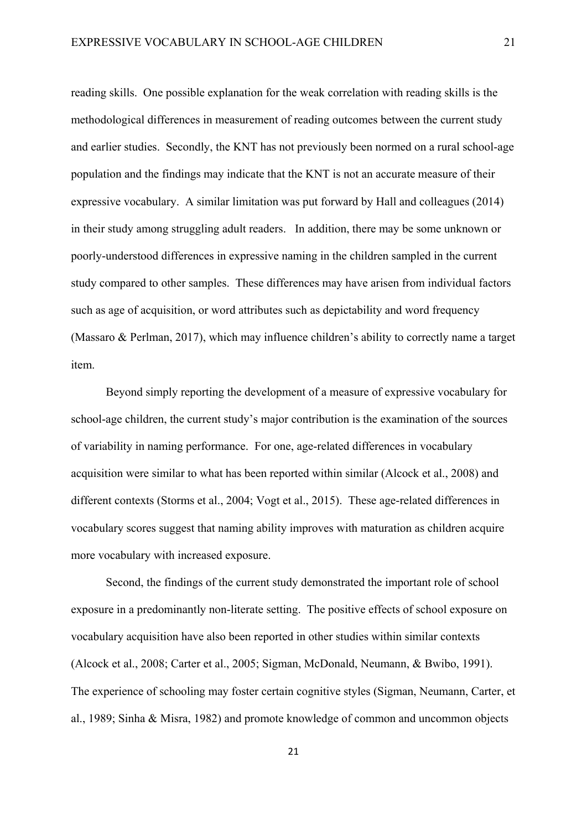reading skills. One possible explanation for the weak correlation with reading skills is the methodological differences in measurement of reading outcomes between the current study and earlier studies. Secondly, the KNT has not previously been normed on a rural school-age population and the findings may indicate that the KNT is not an accurate measure of their expressive vocabulary. A similar limitation was put forward by Hall and colleagues (2014) in their study among struggling adult readers. In addition, there may be some unknown or poorly-understood differences in expressive naming in the children sampled in the current study compared to other samples. These differences may have arisen from individual factors such as age of acquisition, or word attributes such as depictability and word frequency (Massaro & Perlman, 2017), which may influence children's ability to correctly name a target item.

Beyond simply reporting the development of a measure of expressive vocabulary for school-age children, the current study's major contribution is the examination of the sources of variability in naming performance. For one, age-related differences in vocabulary acquisition were similar to what has been reported within similar (Alcock et al., 2008) and different contexts (Storms et al., 2004; Vogt et al., 2015). These age-related differences in vocabulary scores suggest that naming ability improves with maturation as children acquire more vocabulary with increased exposure.

Second, the findings of the current study demonstrated the important role of school exposure in a predominantly non-literate setting. The positive effects of school exposure on vocabulary acquisition have also been reported in other studies within similar contexts (Alcock et al., 2008; Carter et al., 2005; Sigman, McDonald, Neumann, & Bwibo, 1991). The experience of schooling may foster certain cognitive styles (Sigman, Neumann, Carter, et al., 1989; Sinha & Misra, 1982) and promote knowledge of common and uncommon objects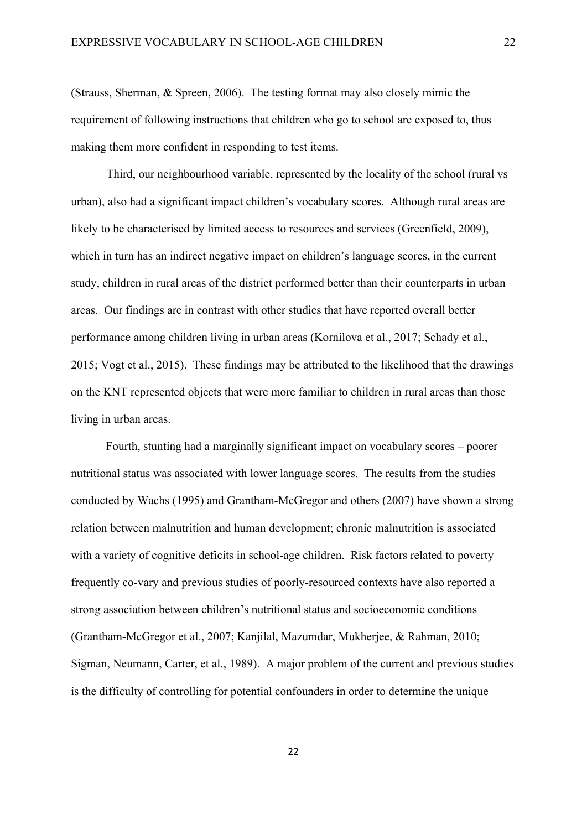(Strauss, Sherman, & Spreen, 2006). The testing format may also closely mimic the requirement of following instructions that children who go to school are exposed to, thus making them more confident in responding to test items.

Third, our neighbourhood variable, represented by the locality of the school (rural vs urban), also had a significant impact children's vocabulary scores. Although rural areas are likely to be characterised by limited access to resources and services (Greenfield, 2009), which in turn has an indirect negative impact on children's language scores, in the current study, children in rural areas of the district performed better than their counterparts in urban areas. Our findings are in contrast with other studies that have reported overall better performance among children living in urban areas (Kornilova et al., 2017; Schady et al., 2015; Vogt et al., 2015). These findings may be attributed to the likelihood that the drawings on the KNT represented objects that were more familiar to children in rural areas than those living in urban areas.

Fourth, stunting had a marginally significant impact on vocabulary scores – poorer nutritional status was associated with lower language scores. The results from the studies conducted by Wachs (1995) and Grantham-McGregor and others (2007) have shown a strong relation between malnutrition and human development; chronic malnutrition is associated with a variety of cognitive deficits in school-age children. Risk factors related to poverty frequently co-vary and previous studies of poorly-resourced contexts have also reported a strong association between children's nutritional status and socioeconomic conditions (Grantham-McGregor et al., 2007; Kanjilal, Mazumdar, Mukherjee, & Rahman, 2010; Sigman, Neumann, Carter, et al., 1989). A major problem of the current and previous studies is the difficulty of controlling for potential confounders in order to determine the unique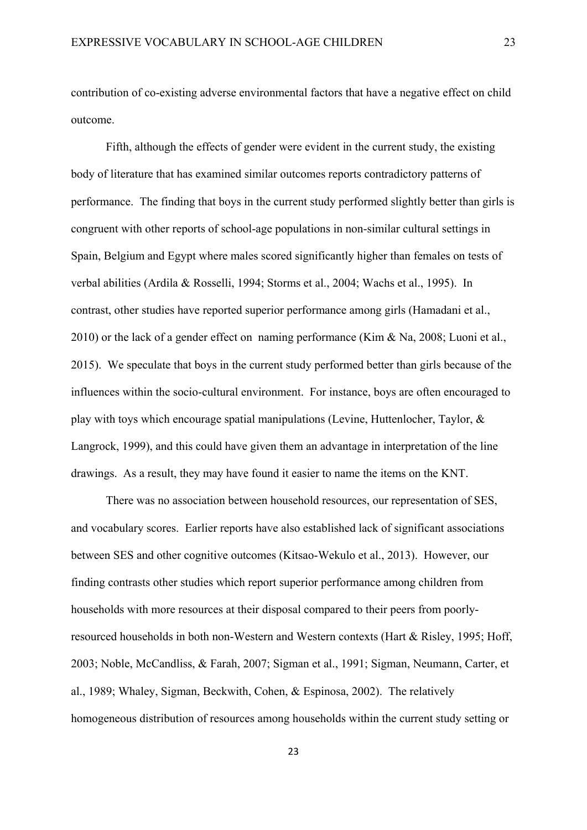contribution of co-existing adverse environmental factors that have a negative effect on child outcome.

Fifth, although the effects of gender were evident in the current study, the existing body of literature that has examined similar outcomes reports contradictory patterns of performance. The finding that boys in the current study performed slightly better than girls is congruent with other reports of school-age populations in non-similar cultural settings in Spain, Belgium and Egypt where males scored significantly higher than females on tests of verbal abilities (Ardila & Rosselli, 1994; Storms et al., 2004; Wachs et al., 1995). In contrast, other studies have reported superior performance among girls (Hamadani et al., 2010) or the lack of a gender effect on naming performance (Kim & Na, 2008; Luoni et al., 2015). We speculate that boys in the current study performed better than girls because of the influences within the socio-cultural environment. For instance, boys are often encouraged to play with toys which encourage spatial manipulations (Levine, Huttenlocher, Taylor, & Langrock, 1999), and this could have given them an advantage in interpretation of the line drawings. As a result, they may have found it easier to name the items on the KNT.

There was no association between household resources, our representation of SES, and vocabulary scores. Earlier reports have also established lack of significant associations between SES and other cognitive outcomes (Kitsao-Wekulo et al., 2013). However, our finding contrasts other studies which report superior performance among children from households with more resources at their disposal compared to their peers from poorlyresourced households in both non-Western and Western contexts (Hart & Risley, 1995; Hoff, 2003; Noble, McCandliss, & Farah, 2007; Sigman et al., 1991; Sigman, Neumann, Carter, et al., 1989; Whaley, Sigman, Beckwith, Cohen, & Espinosa, 2002). The relatively homogeneous distribution of resources among households within the current study setting or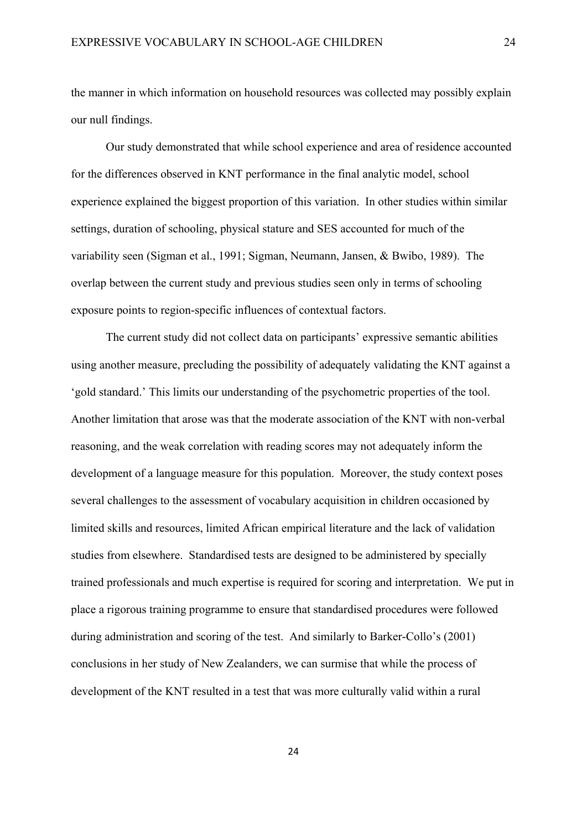the manner in which information on household resources was collected may possibly explain our null findings.

Our study demonstrated that while school experience and area of residence accounted for the differences observed in KNT performance in the final analytic model, school experience explained the biggest proportion of this variation. In other studies within similar settings, duration of schooling, physical stature and SES accounted for much of the variability seen (Sigman et al., 1991; Sigman, Neumann, Jansen, & Bwibo, 1989). The overlap between the current study and previous studies seen only in terms of schooling exposure points to region-specific influences of contextual factors.

The current study did not collect data on participants' expressive semantic abilities using another measure, precluding the possibility of adequately validating the KNT against a 'gold standard.' This limits our understanding of the psychometric properties of the tool. Another limitation that arose was that the moderate association of the KNT with non-verbal reasoning, and the weak correlation with reading scores may not adequately inform the development of a language measure for this population. Moreover, the study context poses several challenges to the assessment of vocabulary acquisition in children occasioned by limited skills and resources, limited African empirical literature and the lack of validation studies from elsewhere. Standardised tests are designed to be administered by specially trained professionals and much expertise is required for scoring and interpretation. We put in place a rigorous training programme to ensure that standardised procedures were followed during administration and scoring of the test. And similarly to Barker-Collo's (2001) conclusions in her study of New Zealanders, we can surmise that while the process of development of the KNT resulted in a test that was more culturally valid within a rural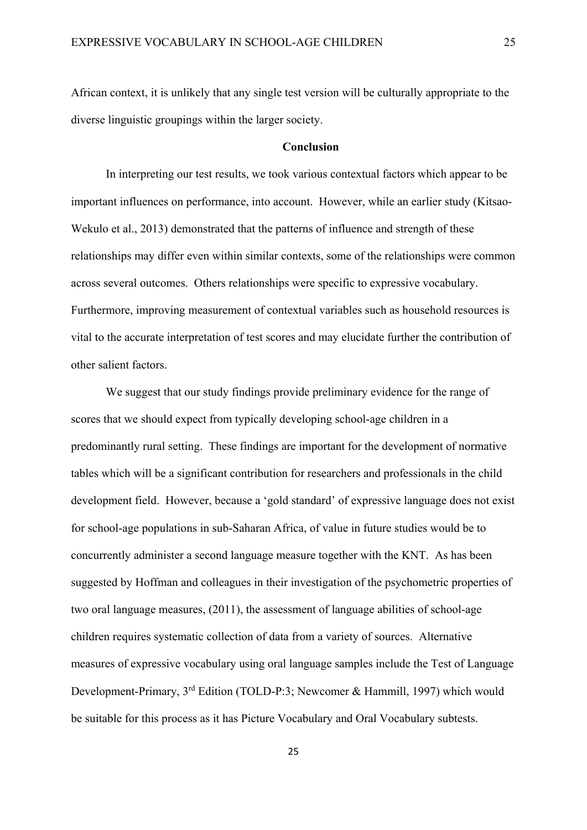African context, it is unlikely that any single test version will be culturally appropriate to the diverse linguistic groupings within the larger society.

## **Conclusion**

In interpreting our test results, we took various contextual factors which appear to be important influences on performance, into account. However, while an earlier study (Kitsao-Wekulo et al., 2013) demonstrated that the patterns of influence and strength of these relationships may differ even within similar contexts, some of the relationships were common across several outcomes. Others relationships were specific to expressive vocabulary. Furthermore, improving measurement of contextual variables such as household resources is vital to the accurate interpretation of test scores and may elucidate further the contribution of other salient factors.

We suggest that our study findings provide preliminary evidence for the range of scores that we should expect from typically developing school-age children in a predominantly rural setting. These findings are important for the development of normative tables which will be a significant contribution for researchers and professionals in the child development field. However, because a 'gold standard' of expressive language does not exist for school-age populations in sub-Saharan Africa, of value in future studies would be to concurrently administer a second language measure together with the KNT. As has been suggested by Hoffman and colleagues in their investigation of the psychometric properties of two oral language measures, (2011), the assessment of language abilities of school-age children requires systematic collection of data from a variety of sources. Alternative measures of expressive vocabulary using oral language samples include the Test of Language Development-Primary, 3rd Edition (TOLD-P:3; Newcomer & Hammill, 1997) which would be suitable for this process as it has Picture Vocabulary and Oral Vocabulary subtests.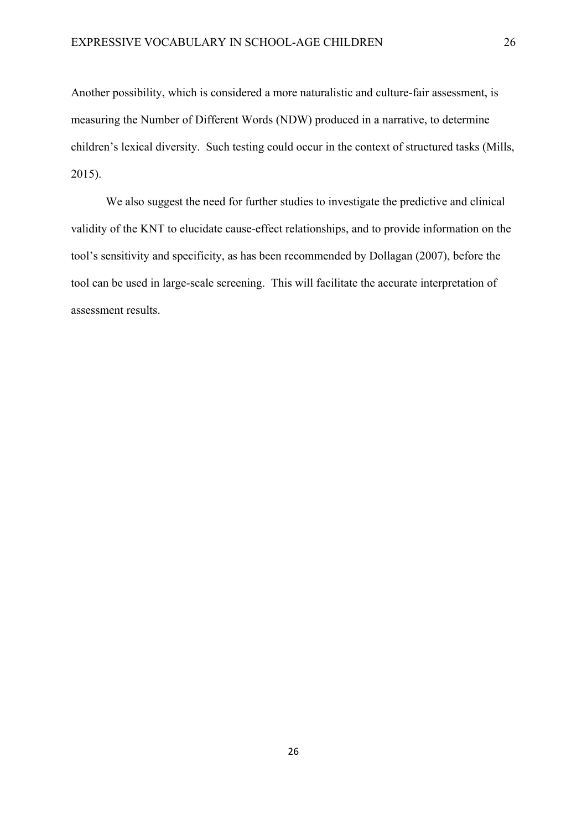Another possibility, which is considered a more naturalistic and culture-fair assessment, is measuring the Number of Different Words (NDW) produced in a narrative, to determine children's lexical diversity. Such testing could occur in the context of structured tasks (Mills, 2015).

We also suggest the need for further studies to investigate the predictive and clinical validity of the KNT to elucidate cause-effect relationships, and to provide information on the tool's sensitivity and specificity, as has been recommended by Dollagan (2007), before the tool can be used in large-scale screening. This will facilitate the accurate interpretation of assessment results.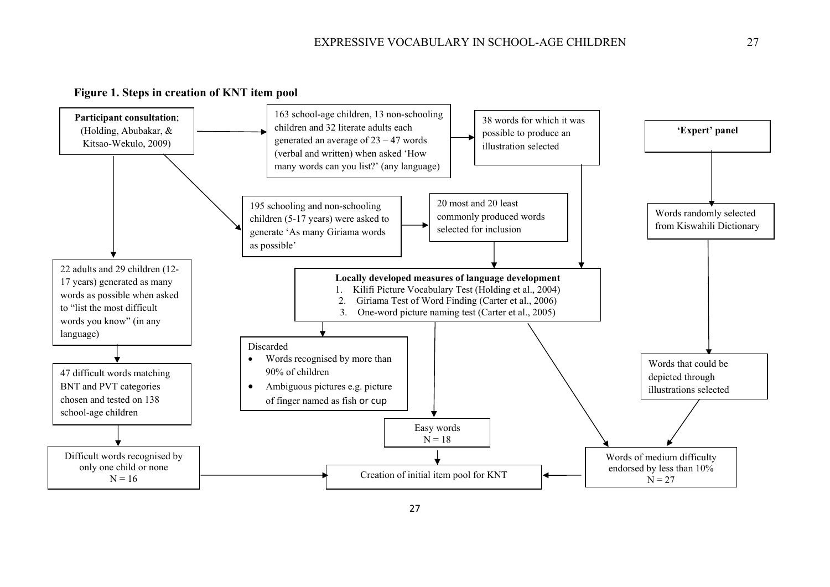

**Figure 1. Steps in creation of KNT item pool**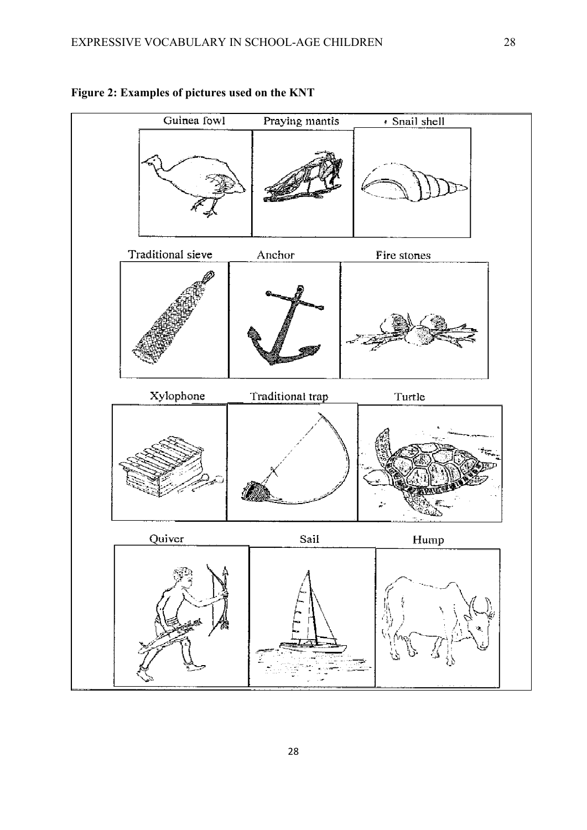

# **Figure 2: Examples of pictures used on the KNT**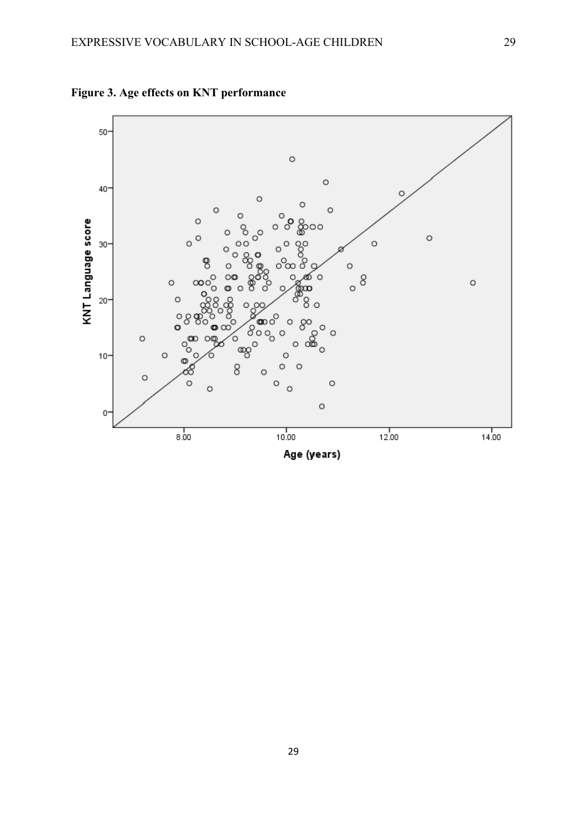

**Figure 3. Age effects on KNT performance**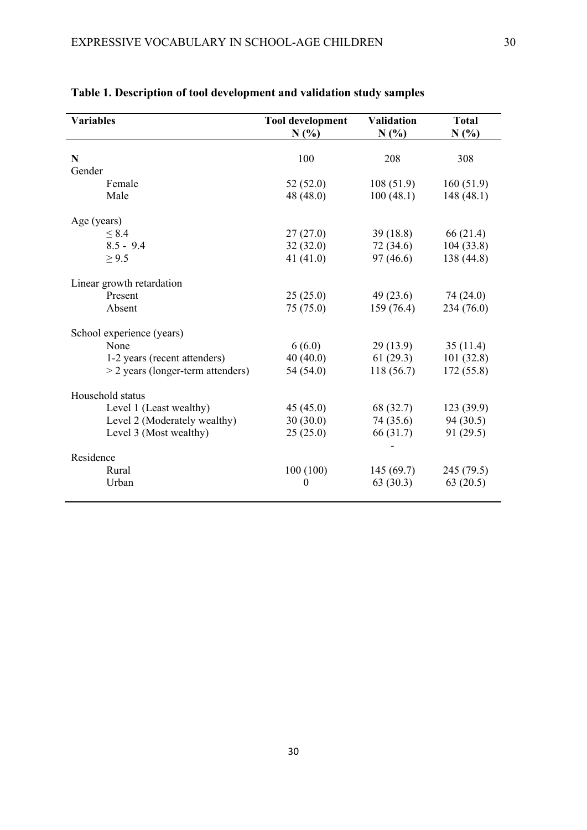| <b>Variables</b>                    | <b>Tool development</b><br>N(% | <b>Validation</b><br>N(%) | <b>Total</b><br>N(%) |
|-------------------------------------|--------------------------------|---------------------------|----------------------|
| $\mathbf N$                         | 100                            | 208                       | 308                  |
| Gender                              |                                |                           |                      |
| Female                              | 52(52.0)                       | 108(51.9)                 | 160(51.9)            |
| Male                                | 48 (48.0)                      | 100(48.1)                 | 148(48.1)            |
| Age (years)                         |                                |                           |                      |
| $\leq 8.4$                          | 27(27.0)                       | 39(18.8)                  | 66 (21.4)            |
| $8.5 - 9.4$                         | 32(32.0)                       | 72 (34.6)                 | 104(33.8)            |
| $\geq 9.5$                          | 41 $(41.0)$                    | 97(46.6)                  | 138 (44.8)           |
| Linear growth retardation           |                                |                           |                      |
| Present                             | 25(25.0)                       | 49(23.6)                  | 74 (24.0)            |
| Absent                              | 75 (75.0)                      | 159(76.4)                 | 234 (76.0)           |
| School experience (years)           |                                |                           |                      |
| None                                | 6(6.0)                         | 29(13.9)                  | 35(11.4)             |
| 1-2 years (recent attenders)        | 40(40.0)                       | 61(29.3)                  | 101(32.8)            |
| $>$ 2 years (longer-term attenders) | 54 (54.0)                      | 118(56.7)                 | 172 (55.8)           |
| Household status                    |                                |                           |                      |
| Level 1 (Least wealthy)             | 45(45.0)                       | 68 (32.7)                 | 123(39.9)            |
| Level 2 (Moderately wealthy)        | 30(30.0)                       | 74 (35.6)                 | 94(30.5)             |
| Level 3 (Most wealthy)              | 25(25.0)                       | 66 (31.7)                 | 91 (29.5)            |
| Residence                           |                                |                           |                      |
| Rural                               | 100(100)                       | 145(69.7)                 | 245 (79.5)           |
| Urban                               | $\boldsymbol{0}$               | 63(30.3)                  | 63(20.5)             |
|                                     |                                |                           |                      |

# **Table 1. Description of tool development and validation study samples**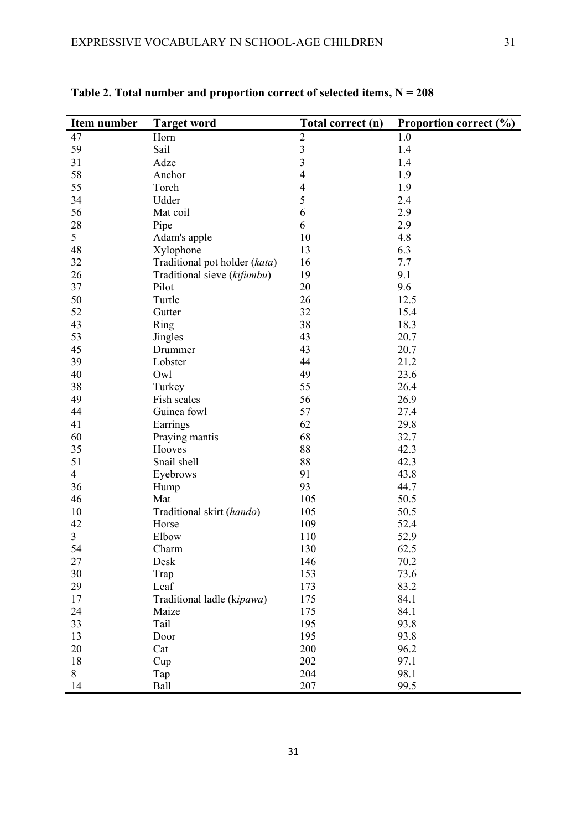| Item number    | <b>Target word</b>            | Total correct (n)       | Proportion correct (%) |
|----------------|-------------------------------|-------------------------|------------------------|
| 47             | Horn                          | $\overline{2}$          | 1.0                    |
| 59             | Sail                          | $\overline{\mathbf{3}}$ | 1.4                    |
| 31             | Adze                          | $\overline{3}$          | 1.4                    |
| 58             | Anchor                        | 4                       | 1.9                    |
| 55             | Torch                         | 4                       | 1.9                    |
| 34             | Udder                         | 5                       | 2.4                    |
| 56             | Mat coil                      | 6                       | 2.9                    |
| 28             | Pipe                          | 6                       | 2.9                    |
| 5              | Adam's apple                  | 10                      | 4.8                    |
| 48             | Xylophone                     | 13                      | 6.3                    |
| 32             | Traditional pot holder (kata) | 16                      | 7.7                    |
| 26             | Traditional sieve (kifumbu)   | 19                      | 9.1                    |
| 37             | Pilot                         | 20                      | 9.6                    |
| 50             | Turtle                        | 26                      | 12.5                   |
| 52             | Gutter                        | 32                      | 15.4                   |
| 43             | Ring                          | 38                      | 18.3                   |
| 53             | <b>Jingles</b>                | 43                      | 20.7                   |
| 45             | Drummer                       | 43                      | 20.7                   |
| 39             | Lobster                       | 44                      | 21.2                   |
| 40             | Owl                           | 49                      | 23.6                   |
| 38             | Turkey                        | 55                      | 26.4                   |
| 49             | Fish scales                   | 56                      | 26.9                   |
| 44             | Guinea fowl                   | 57                      | 27.4                   |
| 41             |                               | 62                      | 29.8                   |
| 60             | Earrings                      | 68                      |                        |
|                | Praying mantis                |                         | 32.7                   |
| 35             | Hooves                        | 88                      | 42.3                   |
| 51             | Snail shell                   | 88                      | 42.3                   |
| $\overline{4}$ | Eyebrows                      | 91                      | 43.8                   |
| 36             | Hump                          | 93                      | 44.7                   |
| 46             | Mat                           | 105                     | 50.5                   |
| 10             | Traditional skirt (hando)     | 105                     | 50.5                   |
| 42             | Horse                         | 109                     | 52.4                   |
| 3              | Elbow                         | 110                     | 52.9                   |
| 54             | Charm                         | 130                     | 62.5                   |
| 27             | Desk                          | 146                     | 70.2                   |
| 30             | Trap                          | 153                     | 73.6                   |
| 29             | Leaf                          | 173                     | 83.2                   |
| 17             | Traditional ladle (kipawa)    | 175                     | 84.1                   |
| 24             | Maize                         | 175                     | 84.1                   |
| 33             | Tail                          | 195                     | 93.8                   |
| 13             | Door                          | 195                     | 93.8                   |
| 20             | Cat                           | 200                     | 96.2                   |
| 18             | Cup                           | 202                     | 97.1                   |
| 8              | Tap                           | 204                     | 98.1                   |
| 14             | Ball                          | 207                     | 99.5                   |

**Table 2. Total number and proportion correct of selected items, N = 208**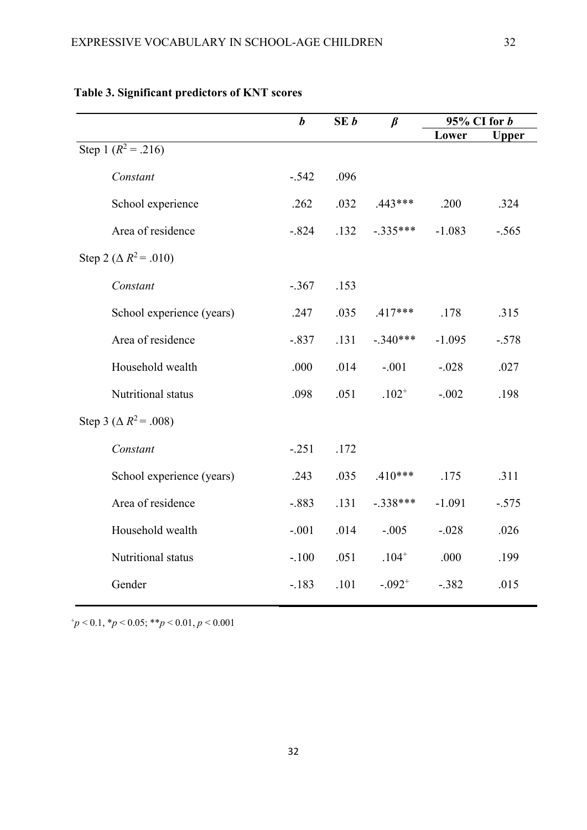| Lower<br><b>Upper</b>        |
|------------------------------|
|                              |
|                              |
|                              |
| .324                         |
| $-1.083$<br>$-.565$          |
|                              |
|                              |
| .315                         |
| $-.578$<br>$-1.095$          |
| $-.028$<br>.027              |
| $-.002$<br>.198              |
|                              |
|                              |
| .311                         |
| $-.575$<br>$-1.091$          |
| $-.028$<br>.026              |
| .199                         |
| $-.382$<br>.015              |
| .200<br>.178<br>.175<br>.000 |

# **Table 3. Significant predictors of KNT scores**

+*p* < 0.1, \**p* < 0.05; \*\**p* < 0.01, *p* < 0.001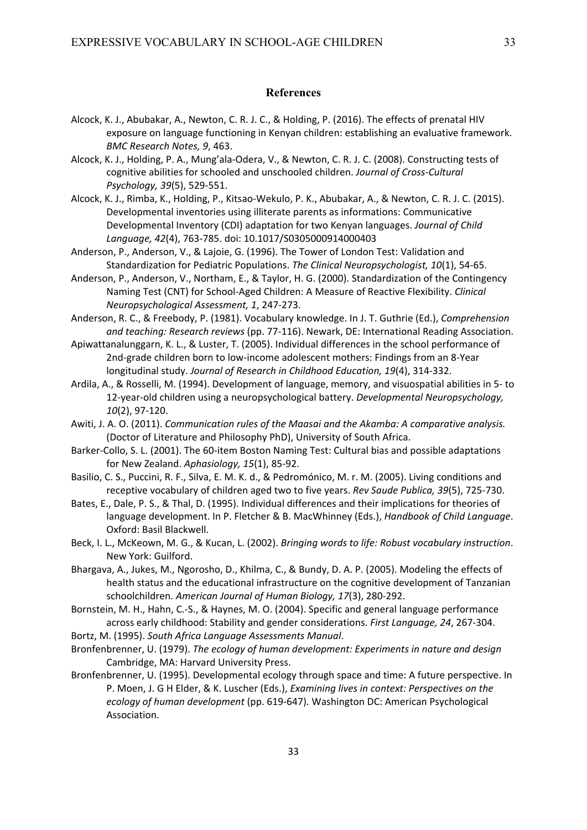## **References**

- Alcock, K. J., Abubakar, A., Newton, C. R. J. C., & Holding, P. (2016). The effects of prenatal HIV exposure on language functioning in Kenyan children: establishing an evaluative framework. *BMC Research Notes, 9*, 463.
- Alcock, K. J., Holding, P. A., Mung'ala‐Odera, V., & Newton, C. R. J. C. (2008). Constructing tests of cognitive abilities for schooled and unschooled children. *Journal of Cross‐Cultural Psychology, 39*(5), 529‐551.
- Alcock, K. J., Rimba, K., Holding, P., Kitsao‐Wekulo, P. K., Abubakar, A., & Newton, C. R. J. C. (2015). Developmental inventories using illiterate parents as informations: Communicative Developmental Inventory (CDI) adaptation for two Kenyan languages. *Journal of Child Language, 42*(4), 763‐785. doi: 10.1017/S0305000914000403
- Anderson, P., Anderson, V., & Lajoie, G. (1996). The Tower of London Test: Validation and Standardization for Pediatric Populations. *The Clinical Neuropsychologist, 10*(1), 54‐65.
- Anderson, P., Anderson, V., Northam, E., & Taylor, H. G. (2000). Standardization of the Contingency Naming Test (CNT) for School‐Aged Children: A Measure of Reactive Flexibility. *Clinical Neuropsychological Assessment, 1*, 247‐273.
- Anderson, R. C., & Freebody, P. (1981). Vocabulary knowledge. In J. T. Guthrie (Ed.), *Comprehension and teaching: Research reviews* (pp. 77‐116). Newark, DE: International Reading Association.
- Apiwattanalunggarn, K. L., & Luster, T. (2005). Individual differences in the school performance of 2nd‐grade children born to low‐income adolescent mothers: Findings from an 8‐Year longitudinal study. *Journal of Research in Childhood Education, 19*(4), 314‐332.
- Ardila, A., & Rosselli, M. (1994). Development of language, memory, and visuospatial abilities in 5‐ to 12‐year‐old children using a neuropsychological battery. *Developmental Neuropsychology, 10*(2), 97‐120.
- Awiti, J. A. O. (2011). *Communication rules of the Maasai and the Akamba: A comparative analysis.* (Doctor of Literature and Philosophy PhD), University of South Africa.
- Barker-Collo, S. L. (2001). The 60-item Boston Naming Test: Cultural bias and possible adaptations for New Zealand. *Aphasiology, 15*(1), 85‐92.
- Basilio, C. S., Puccini, R. F., Silva, E. M. K. d., & Pedromónico, M. r. M. (2005). Living conditions and receptive vocabulary of children aged two to five years. *Rev Saude Publica, 39*(5), 725‐730.
- Bates, E., Dale, P. S., & Thal, D. (1995). Individual differences and their implications for theories of language development. In P. Fletcher & B. MacWhinney (Eds.), *Handbook of Child Language*. Oxford: Basil Blackwell.
- Beck, I. L., McKeown, M. G., & Kucan, L. (2002). *Bringing words to life: Robust vocabulary instruction*. New York: Guilford.
- Bhargava, A., Jukes, M., Ngorosho, D., Khilma, C., & Bundy, D. A. P. (2005). Modeling the effects of health status and the educational infrastructure on the cognitive development of Tanzanian schoolchildren. *American Journal of Human Biology, 17*(3), 280‐292.
- Bornstein, M. H., Hahn, C.‐S., & Haynes, M. O. (2004). Specific and general language performance across early childhood: Stability and gender considerations. *First Language, 24*, 267‐304.
- Bortz, M. (1995). *South Africa Language Assessments Manual*.
- Bronfenbrenner, U. (1979). *The ecology of human development: Experiments in nature and design*  Cambridge, MA: Harvard University Press.
- Bronfenbrenner, U. (1995). Developmental ecology through space and time: A future perspective. In P. Moen, J. G H Elder, & K. Luscher (Eds.), *Examining lives in context: Perspectives on the ecology of human development* (pp. 619‐647). Washington DC: American Psychological Association.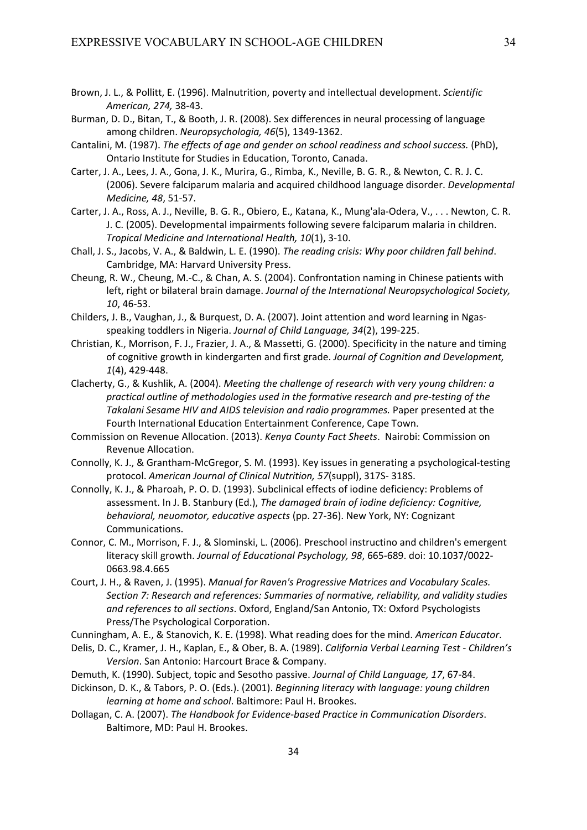- Brown, J. L., & Pollitt, E. (1996). Malnutrition, poverty and intellectual development. *Scientific American, 274,* 38‐43.
- Burman, D. D., Bitan, T., & Booth, J. R. (2008). Sex differences in neural processing of language among children. *Neuropsychologia, 46*(5), 1349‐1362.
- Cantalini, M. (1987). *The effects of age and gender on school readiness and school success.* (PhD), Ontario Institute for Studies in Education, Toronto, Canada.
- Carter, J. A., Lees, J. A., Gona, J. K., Murira, G., Rimba, K., Neville, B. G. R., & Newton, C. R. J. C. (2006). Severe falciparum malaria and acquired childhood language disorder. *Developmental Medicine, 48*, 51‐57.
- Carter, J. A., Ross, A. J., Neville, B. G. R., Obiero, E., Katana, K., Mung'ala‐Odera, V., . . . Newton, C. R. J. C. (2005). Developmental impairments following severe falciparum malaria in children. *Tropical Medicine and International Health, 10*(1), 3‐10.
- Chall, J. S., Jacobs, V. A., & Baldwin, L. E. (1990). *The reading crisis: Why poor children fall behind*. Cambridge, MA: Harvard University Press.
- Cheung, R. W., Cheung, M.‐C., & Chan, A. S. (2004). Confrontation naming in Chinese patients with left, right or bilateral brain damage. *Journal of the International Neuropsychological Society, 10*, 46‐53.
- Childers, J. B., Vaughan, J., & Burquest, D. A. (2007). Joint attention and word learning in Ngas‐ speaking toddlers in Nigeria. *Journal of Child Language, 34*(2), 199‐225.
- Christian, K., Morrison, F. J., Frazier, J. A., & Massetti, G. (2000). Specificity in the nature and timing of cognitive growth in kindergarten and first grade. *Journal of Cognition and Development, 1*(4), 429‐448.
- Clacherty, G., & Kushlik, A. (2004). *Meeting the challenge of research with very young children: a practical outline of methodologies used in the formative research and pre‐testing of the Takalani Sesame HIV and AIDS television and radio programmes.* Paper presented at the Fourth International Education Entertainment Conference, Cape Town.
- Commission on Revenue Allocation. (2013). *Kenya County Fact Sheets*. Nairobi: Commission on Revenue Allocation.
- Connolly, K. J., & Grantham‐McGregor, S. M. (1993). Key issues in generating a psychological‐testing protocol. *American Journal of Clinical Nutrition, 57*(suppl), 317S‐ 318S.
- Connolly, K. J., & Pharoah, P. O. D. (1993). Subclinical effects of iodine deficiency: Problems of assessment. In J. B. Stanbury (Ed.), *The damaged brain of iodine deficiency: Cognitive, behavioral, neuomotor, educative aspects* (pp. 27‐36). New York, NY: Cognizant Communications.
- Connor, C. M., Morrison, F. J., & Slominski, L. (2006). Preschool instructino and children's emergent literacy skill growth. *Journal of Educational Psychology, 98*, 665‐689. doi: 10.1037/0022‐ 0663.98.4.665
- Court, J. H., & Raven, J. (1995). *Manual for Raven's Progressive Matrices and Vocabulary Scales. Section 7: Research and references: Summaries of normative, reliability, and validity studies and references to all sections*. Oxford, England/San Antonio, TX: Oxford Psychologists Press/The Psychological Corporation.
- Cunningham, A. E., & Stanovich, K. E. (1998). What reading does for the mind. *American Educator*.
- Delis, D. C., Kramer, J. H., Kaplan, E., & Ober, B. A. (1989). *California Verbal Learning Test ‐ Children's Version*. San Antonio: Harcourt Brace & Company.
- Demuth, K. (1990). Subject, topic and Sesotho passive. *Journal of Child Language, 17*, 67‐84.
- Dickinson, D. K., & Tabors, P. O. (Eds.). (2001). *Beginning literacy with language: young children learning at home and school*. Baltimore: Paul H. Brookes.
- Dollagan, C. A. (2007). *The Handbook for Evidence‐based Practice in Communication Disorders*. Baltimore, MD: Paul H. Brookes.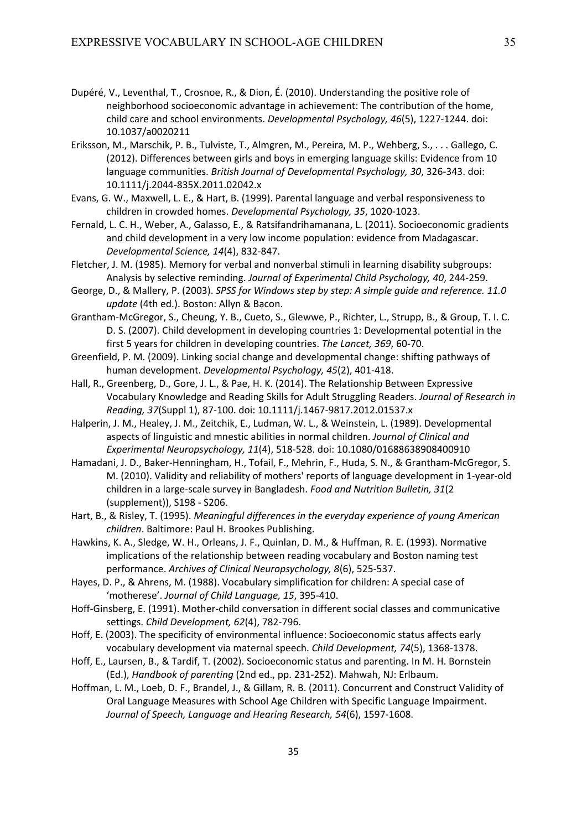- Dupéré, V., Leventhal, T., Crosnoe, R., & Dion, É. (2010). Understanding the positive role of neighborhood socioeconomic advantage in achievement: The contribution of the home, child care and school environments. *Developmental Psychology, 46*(5), 1227‐1244. doi: 10.1037/a0020211
- Eriksson, M., Marschik, P. B., Tulviste, T., Almgren, M., Pereira, M. P., Wehberg, S., . . . Gallego, C. (2012). Differences between girls and boys in emerging language skills: Evidence from 10 language communities. *British Journal of Developmental Psychology, 30*, 326‐343. doi: 10.1111/j.2044‐835X.2011.02042.x
- Evans, G. W., Maxwell, L. E., & Hart, B. (1999). Parental language and verbal responsiveness to children in crowded homes. *Developmental Psychology, 35*, 1020‐1023.
- Fernald, L. C. H., Weber, A., Galasso, E., & Ratsifandrihamanana, L. (2011). Socioeconomic gradients and child development in a very low income population: evidence from Madagascar. *Developmental Science, 14*(4), 832‐847.
- Fletcher, J. M. (1985). Memory for verbal and nonverbal stimuli in learning disability subgroups: Analysis by selective reminding. *Journal of Experimental Child Psychology, 40*, 244‐259.
- George, D., & Mallery, P. (2003). *SPSS for Windows step by step: A simple guide and reference. 11.0 update* (4th ed.). Boston: Allyn & Bacon.
- Grantham‐McGregor, S., Cheung, Y. B., Cueto, S., Glewwe, P., Richter, L., Strupp, B., & Group, T. I. C. D. S. (2007). Child development in developing countries 1: Developmental potential in the first 5 years for children in developing countries. *The Lancet, 369*, 60‐70.
- Greenfield, P. M. (2009). Linking social change and developmental change: shifting pathways of human development. *Developmental Psychology, 45*(2), 401‐418.
- Hall, R., Greenberg, D., Gore, J. L., & Pae, H. K. (2014). The Relationship Between Expressive Vocabulary Knowledge and Reading Skills for Adult Struggling Readers. *Journal of Research in Reading, 37*(Suppl 1), 87‐100. doi: 10.1111/j.1467‐9817.2012.01537.x
- Halperin, J. M., Healey, J. M., Zeitchik, E., Ludman, W. L., & Weinstein, L. (1989). Developmental aspects of linguistic and mnestic abilities in normal children. *Journal of Clinical and Experimental Neuropsychology, 11*(4), 518‐528. doi: 10.1080/01688638908400910
- Hamadani, J. D., Baker‐Henningham, H., Tofail, F., Mehrin, F., Huda, S. N., & Grantham‐McGregor, S. M. (2010). Validity and reliability of mothers' reports of language development in 1‐year‐old children in a large‐scale survey in Bangladesh. *Food and Nutrition Bulletin, 31*(2 (supplement)), S198 ‐ S206.
- Hart, B., & Risley, T. (1995). *Meaningful differences in the everyday experience of young American children*. Baltimore: Paul H. Brookes Publishing.
- Hawkins, K. A., Sledge, W. H., Orleans, J. F., Quinlan, D. M., & Huffman, R. E. (1993). Normative implications of the relationship between reading vocabulary and Boston naming test performance. *Archives of Clinical Neuropsychology, 8*(6), 525‐537.
- Hayes, D. P., & Ahrens, M. (1988). Vocabulary simplification for children: A special case of 'motherese'. *Journal of Child Language, 15*, 395‐410.
- Hoff-Ginsberg, E. (1991). Mother-child conversation in different social classes and communicative settings. *Child Development, 62*(4), 782‐796.
- Hoff, E. (2003). The specificity of environmental influence: Socioeconomic status affects early vocabulary development via maternal speech. *Child Development, 74*(5), 1368‐1378.
- Hoff, E., Laursen, B., & Tardif, T. (2002). Socioeconomic status and parenting. In M. H. Bornstein (Ed.), *Handbook of parenting* (2nd ed., pp. 231‐252). Mahwah, NJ: Erlbaum.
- Hoffman, L. M., Loeb, D. F., Brandel, J., & Gillam, R. B. (2011). Concurrent and Construct Validity of Oral Language Measures with School Age Children with Specific Language Impairment. *Journal of Speech, Language and Hearing Research, 54*(6), 1597‐1608.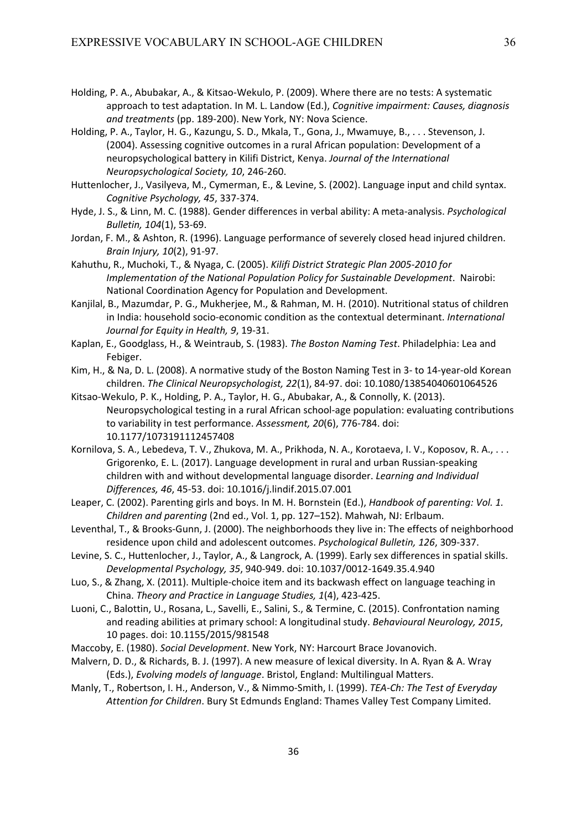- Holding, P. A., Abubakar, A., & Kitsao‐Wekulo, P. (2009). Where there are no tests: A systematic approach to test adaptation. In M. L. Landow (Ed.), *Cognitive impairment: Causes, diagnosis and treatments* (pp. 189‐200). New York, NY: Nova Science.
- Holding, P. A., Taylor, H. G., Kazungu, S. D., Mkala, T., Gona, J., Mwamuye, B., . . . Stevenson, J. (2004). Assessing cognitive outcomes in a rural African population: Development of a neuropsychological battery in Kilifi District, Kenya. *Journal of the International Neuropsychological Society, 10*, 246‐260.
- Huttenlocher, J., Vasilyeva, M., Cymerman, E., & Levine, S. (2002). Language input and child syntax. *Cognitive Psychology, 45*, 337‐374.
- Hyde, J. S., & Linn, M. C. (1988). Gender differences in verbal ability: A meta‐analysis. *Psychological Bulletin, 104*(1), 53‐69.
- Jordan, F. M., & Ashton, R. (1996). Language performance of severely closed head injured children. *Brain Injury, 10*(2), 91‐97.
- Kahuthu, R., Muchoki, T., & Nyaga, C. (2005). *Kilifi District Strategic Plan 2005‐2010 for Implementation of the National Population Policy for Sustainable Development*. Nairobi: National Coordination Agency for Population and Development.
- Kanjilal, B., Mazumdar, P. G., Mukherjee, M., & Rahman, M. H. (2010). Nutritional status of children in India: household socio‐economic condition as the contextual determinant. *International Journal for Equity in Health, 9*, 19‐31.
- Kaplan, E., Goodglass, H., & Weintraub, S. (1983). *The Boston Naming Test*. Philadelphia: Lea and Febiger.
- Kim, H., & Na, D. L. (2008). A normative study of the Boston Naming Test in 3‐ to 14‐year‐old Korean children. *The Clinical Neuropsychologist, 22*(1), 84‐97. doi: 10.1080/13854040601064526
- Kitsao‐Wekulo, P. K., Holding, P. A., Taylor, H. G., Abubakar, A., & Connolly, K. (2013). Neuropsychological testing in a rural African school‐age population: evaluating contributions to variability in test performance. *Assessment, 20*(6), 776‐784. doi: 10.1177/1073191112457408
- Kornilova, S. A., Lebedeva, T. V., Zhukova, M. A., Prikhoda, N. A., Korotaeva, I. V., Koposov, R. A., . . . Grigorenko, E. L. (2017). Language development in rural and urban Russian‐speaking children with and without developmental language disorder. *Learning and Individual Differences, 46*, 45‐53. doi: 10.1016/j.lindif.2015.07.001
- Leaper, C. (2002). Parenting girls and boys. In M. H. Bornstein (Ed.), *Handbook of parenting: Vol. 1. Children and parenting* (2nd ed., Vol. 1, pp. 127–152). Mahwah, NJ: Erlbaum.
- Leventhal, T., & Brooks‐Gunn, J. (2000). The neighborhoods they live in: The effects of neighborhood residence upon child and adolescent outcomes. *Psychological Bulletin, 126*, 309‐337.
- Levine, S. C., Huttenlocher, J., Taylor, A., & Langrock, A. (1999). Early sex differences in spatial skills. *Developmental Psychology, 35*, 940‐949. doi: 10.1037/0012‐1649.35.4.940
- Luo, S., & Zhang, X. (2011). Multiple‐choice item and its backwash effect on language teaching in China. *Theory and Practice in Language Studies, 1*(4), 423‐425.
- Luoni, C., Balottin, U., Rosana, L., Savelli, E., Salini, S., & Termine, C. (2015). Confrontation naming and reading abilities at primary school: A longitudinal study. *Behavioural Neurology, 2015*, 10 pages. doi: 10.1155/2015/981548
- Maccoby, E. (1980). *Social Development*. New York, NY: Harcourt Brace Jovanovich.
- Malvern, D. D., & Richards, B. J. (1997). A new measure of lexical diversity. In A. Ryan & A. Wray (Eds.), *Evolving models of language*. Bristol, England: Multilingual Matters.
- Manly, T., Robertson, I. H., Anderson, V., & Nimmo‐Smith, I. (1999). *TEA‐Ch: The Test of Everyday Attention for Children*. Bury St Edmunds England: Thames Valley Test Company Limited.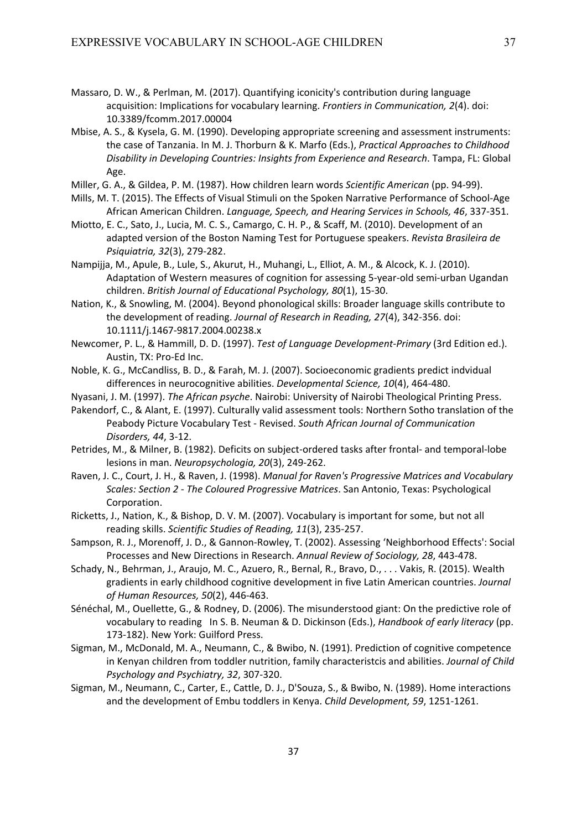- Massaro, D. W., & Perlman, M. (2017). Quantifying iconicity's contribution during language acquisition: Implications for vocabulary learning. *Frontiers in Communication, 2*(4). doi: 10.3389/fcomm.2017.00004
- Mbise, A. S., & Kysela, G. M. (1990). Developing appropriate screening and assessment instruments: the case of Tanzania. In M. J. Thorburn & K. Marfo (Eds.), *Practical Approaches to Childhood Disability in Developing Countries: Insights from Experience and Research*. Tampa, FL: Global Age.
- Miller, G. A., & Gildea, P. M. (1987). How children learn words *Scientific American* (pp. 94‐99).
- Mills, M. T. (2015). The Effects of Visual Stimuli on the Spoken Narrative Performance of School‐Age African American Children. *Language, Speech, and Hearing Services in Schools, 46*, 337‐351.
- Miotto, E. C., Sato, J., Lucia, M. C. S., Camargo, C. H. P., & Scaff, M. (2010). Development of an adapted version of the Boston Naming Test for Portuguese speakers. *Revista Brasileira de Psiquiatria, 32*(3), 279‐282.
- Nampijja, M., Apule, B., Lule, S., Akurut, H., Muhangi, L., Elliot, A. M., & Alcock, K. J. (2010). Adaptation of Western measures of cognition for assessing 5‐year‐old semi‐urban Ugandan children. *British Journal of Educational Psychology, 80*(1), 15‐30.
- Nation, K., & Snowling, M. (2004). Beyond phonological skills: Broader language skills contribute to the development of reading. *Journal of Research in Reading, 27*(4), 342‐356. doi: 10.1111/j.1467‐9817.2004.00238.x
- Newcomer, P. L., & Hammill, D. D. (1997). *Test of Language Development‐Primary* (3rd Edition ed.). Austin, TX: Pro‐Ed Inc.
- Noble, K. G., McCandliss, B. D., & Farah, M. J. (2007). Socioeconomic gradients predict indvidual differences in neurocognitive abilities. *Developmental Science, 10*(4), 464‐480.
- Nyasani, J. M. (1997). *The African psyche*. Nairobi: University of Nairobi Theological Printing Press.
- Pakendorf, C., & Alant, E. (1997). Culturally valid assessment tools: Northern Sotho translation of the Peabody Picture Vocabulary Test ‐ Revised. *South African Journal of Communication Disorders, 44*, 3‐12.
- Petrides, M., & Milner, B. (1982). Deficits on subject‐ordered tasks after frontal‐ and temporal‐lobe lesions in man. *Neuropsychologia, 20*(3), 249‐262.
- Raven, J. C., Court, J. H., & Raven, J. (1998). *Manual for Raven's Progressive Matrices and Vocabulary Scales: Section 2 ‐ The Coloured Progressive Matrices*. San Antonio, Texas: Psychological Corporation.
- Ricketts, J., Nation, K., & Bishop, D. V. M. (2007). Vocabulary is important for some, but not all reading skills. *Scientific Studies of Reading, 11*(3), 235‐257.
- Sampson, R. J., Morenoff, J. D., & Gannon‐Rowley, T. (2002). Assessing 'Neighborhood Effects': Social Processes and New Directions in Research. *Annual Review of Sociology, 28*, 443‐478.
- Schady, N., Behrman, J., Araujo, M. C., Azuero, R., Bernal, R., Bravo, D., . . . Vakis, R. (2015). Wealth gradients in early childhood cognitive development in five Latin American countries. *Journal of Human Resources, 50*(2), 446‐463.
- Sénéchal, M., Ouellette, G., & Rodney, D. (2006). The misunderstood giant: On the predictive role of vocabulary to reading In S. B. Neuman & D. Dickinson (Eds.), *Handbook of early literacy* (pp. 173-182). New York: Guilford Press.
- Sigman, M., McDonald, M. A., Neumann, C., & Bwibo, N. (1991). Prediction of cognitive competence in Kenyan children from toddler nutrition, family characteristcis and abilities. *Journal of Child Psychology and Psychiatry, 32*, 307‐320.
- Sigman, M., Neumann, C., Carter, E., Cattle, D. J., D'Souza, S., & Bwibo, N. (1989). Home interactions and the development of Embu toddlers in Kenya. *Child Development, 59*, 1251‐1261.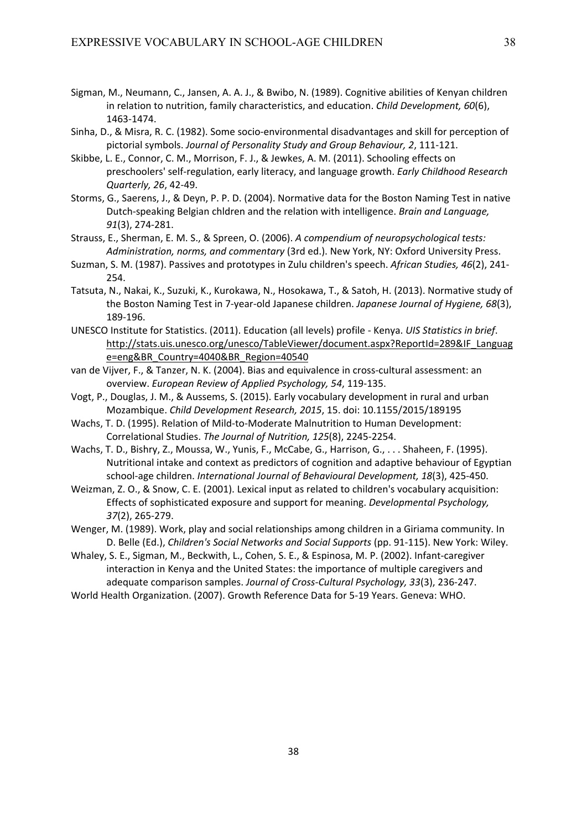- Sigman, M., Neumann, C., Jansen, A. A. J., & Bwibo, N. (1989). Cognitive abilities of Kenyan children in relation to nutrition, family characteristics, and education. *Child Development, 60*(6), 1463‐1474.
- Sinha, D., & Misra, R. C. (1982). Some socio‐environmental disadvantages and skill for perception of pictorial symbols. *Journal of Personality Study and Group Behaviour, 2*, 111‐121.
- Skibbe, L. E., Connor, C. M., Morrison, F. J., & Jewkes, A. M. (2011). Schooling effects on preschoolers' self‐regulation, early literacy, and language growth. *Early Childhood Research Quarterly, 26*, 42‐49.
- Storms, G., Saerens, J., & Deyn, P. P. D. (2004). Normative data for the Boston Naming Test in native Dutch‐speaking Belgian chldren and the relation with intelligence. *Brain and Language, 91*(3), 274‐281.
- Strauss, E., Sherman, E. M. S., & Spreen, O. (2006). *A compendium of neuropsychological tests: Administration, norms, and commentary* (3rd ed.). New York, NY: Oxford University Press.
- Suzman, S. M. (1987). Passives and prototypes in Zulu children's speech. *African Studies, 46*(2), 241‐ 254.
- Tatsuta, N., Nakai, K., Suzuki, K., Kurokawa, N., Hosokawa, T., & Satoh, H. (2013). Normative study of the Boston Naming Test in 7‐year‐old Japanese children. *Japanese Journal of Hygiene, 68*(3), 189‐196.
- UNESCO Institute for Statistics. (2011). Education (all levels) profile ‐ Kenya. *UIS Statistics in brief*. http://stats.uis.unesco.org/unesco/TableViewer/document.aspx?ReportId=289&IF\_Languag e=eng&BR\_Country=4040&BR\_Region=40540
- van de Vijver, F., & Tanzer, N. K. (2004). Bias and equivalence in cross-cultural assessment: an overview. *European Review of Applied Psychology, 54*, 119‐135.
- Vogt, P., Douglas, J. M., & Aussems, S. (2015). Early vocabulary development in rural and urban Mozambique. *Child Development Research, 2015*, 15. doi: 10.1155/2015/189195
- Wachs, T. D. (1995). Relation of Mild-to-Moderate Malnutrition to Human Development: Correlational Studies. *The Journal of Nutrition, 125*(8), 2245‐2254.
- Wachs, T. D., Bishry, Z., Moussa, W., Yunis, F., McCabe, G., Harrison, G., . . . Shaheen, F. (1995). Nutritional intake and context as predictors of cognition and adaptive behaviour of Egyptian school‐age children. *International Journal of Behavioural Development, 18*(3), 425‐450.
- Weizman, Z. O., & Snow, C. E. (2001). Lexical input as related to children's vocabulary acquisition: Effects of sophisticated exposure and support for meaning. *Developmental Psychology, 37*(2), 265‐279.
- Wenger, M. (1989). Work, play and social relationships among children in a Giriama community. In D. Belle (Ed.), *Children's Social Networks and Social Supports* (pp. 91‐115). New York: Wiley.
- Whaley, S. E., Sigman, M., Beckwith, L., Cohen, S. E., & Espinosa, M. P. (2002). Infant‐caregiver interaction in Kenya and the United States: the importance of multiple caregivers and adequate comparison samples. *Journal of Cross‐Cultural Psychology, 33*(3), 236‐247.
- World Health Organization. (2007). Growth Reference Data for 5‐19 Years. Geneva: WHO.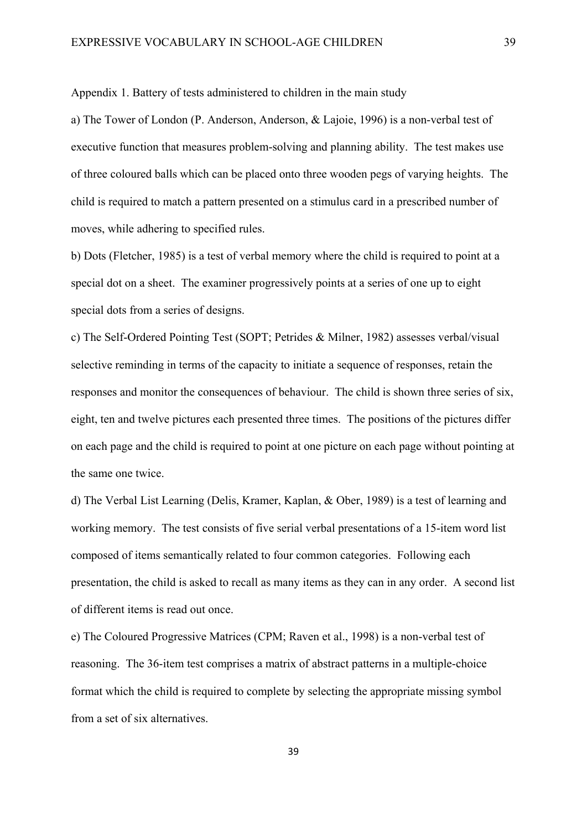Appendix 1. Battery of tests administered to children in the main study

a) The Tower of London (P. Anderson, Anderson, & Lajoie, 1996) is a non-verbal test of executive function that measures problem-solving and planning ability. The test makes use of three coloured balls which can be placed onto three wooden pegs of varying heights. The child is required to match a pattern presented on a stimulus card in a prescribed number of moves, while adhering to specified rules.

b) Dots (Fletcher, 1985) is a test of verbal memory where the child is required to point at a special dot on a sheet. The examiner progressively points at a series of one up to eight special dots from a series of designs.

c) The Self-Ordered Pointing Test (SOPT; Petrides & Milner, 1982) assesses verbal/visual selective reminding in terms of the capacity to initiate a sequence of responses, retain the responses and monitor the consequences of behaviour. The child is shown three series of six, eight, ten and twelve pictures each presented three times. The positions of the pictures differ on each page and the child is required to point at one picture on each page without pointing at the same one twice.

d) The Verbal List Learning (Delis, Kramer, Kaplan, & Ober, 1989) is a test of learning and working memory. The test consists of five serial verbal presentations of a 15-item word list composed of items semantically related to four common categories. Following each presentation, the child is asked to recall as many items as they can in any order. A second list of different items is read out once.

e) The Coloured Progressive Matrices (CPM; Raven et al., 1998) is a non-verbal test of reasoning. The 36-item test comprises a matrix of abstract patterns in a multiple-choice format which the child is required to complete by selecting the appropriate missing symbol from a set of six alternatives.